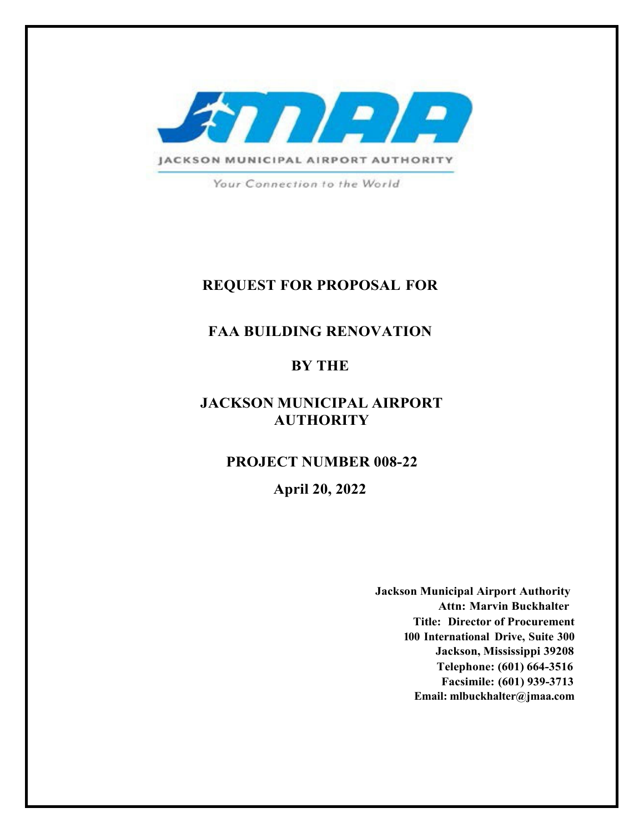

Your Connection to the World

## **REQUEST FOR PROPOSAL FOR**

## **FAA BUILDING RENOVATION**

## **BY THE**

## **JACKSON MUNICIPAL AIRPORT AUTHORITY**

### **PROJECT NUMBER 008-22**

## **April 20, 2022**

**Jackson Municipal Airport Authority Attn: Marvin Buckhalter Title: Director of Procurement 100 International Drive, Suite 300 Jackson, Mississippi 39208 Telephone: (601) 664-3516 Facsimile: (601) 939-3713 Email: mlbuckhalter@jmaa.com**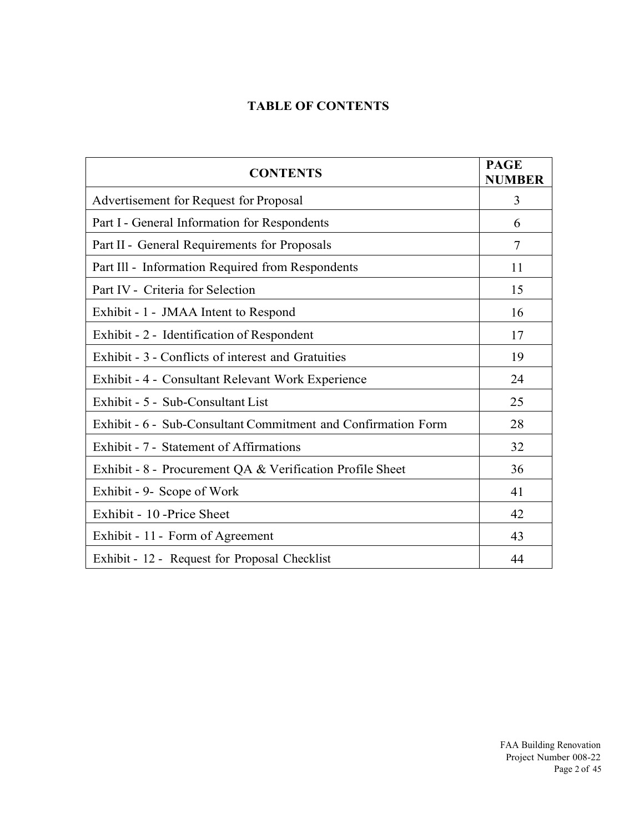## **TABLE OF CONTENTS**

| <b>CONTENTS</b>                                               | <b>PAGE</b><br><b>NUMBER</b> |
|---------------------------------------------------------------|------------------------------|
| Advertisement for Request for Proposal                        | 3                            |
| Part I - General Information for Respondents                  | 6                            |
| Part II - General Requirements for Proposals                  | $\tau$                       |
| Part Ill - Information Required from Respondents              | 11                           |
| Part IV - Criteria for Selection                              | 15                           |
| Exhibit - 1 - JMAA Intent to Respond                          | 16                           |
| Exhibit - 2 - Identification of Respondent                    | 17                           |
| Exhibit - 3 - Conflicts of interest and Gratuities            | 19                           |
| Exhibit - 4 - Consultant Relevant Work Experience             | 24                           |
| Exhibit - 5 - Sub-Consultant List                             | 25                           |
| Exhibit - 6 - Sub-Consultant Commitment and Confirmation Form | 28                           |
| Exhibit - 7 - Statement of Affirmations                       | 32                           |
| Exhibit - 8 - Procurement QA & Verification Profile Sheet     | 36                           |
| Exhibit - 9- Scope of Work                                    | 41                           |
| Exhibit - 10 - Price Sheet                                    | 42                           |
| Exhibit - 11 - Form of Agreement                              | 43                           |
| Exhibit - 12 - Request for Proposal Checklist                 | 44                           |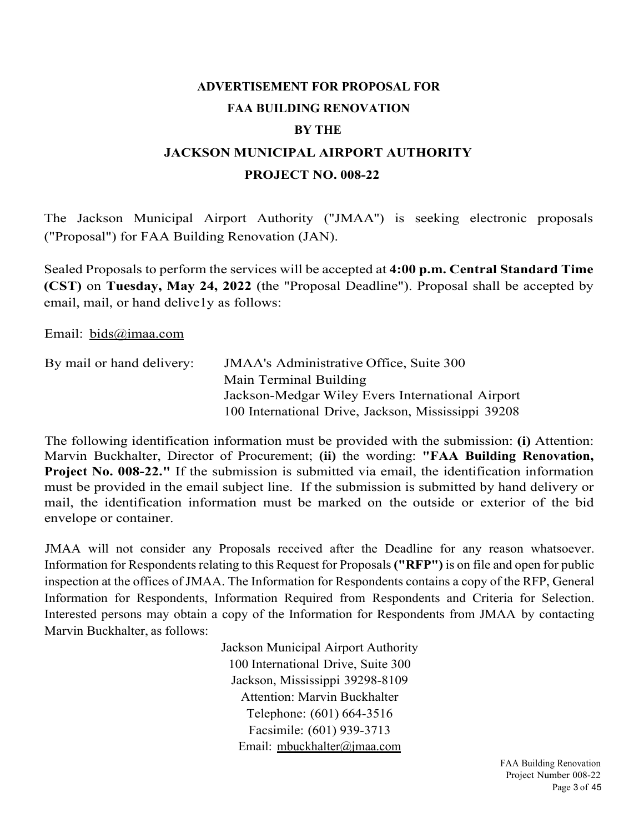# **ADVERTISEMENT FOR PROPOSAL FOR FAA BUILDING RENOVATION BY THE JACKSON MUNICIPAL AIRPORT AUTHORITY PROJECT NO. 008-22**

The Jackson Municipal Airport Authority ("JMAA'') is seeking electronic proposals ("Proposal") for FAA Building Renovation (JAN).

Sealed Proposals to perform the services will be accepted at **4:00 p.m. Central Standard Time (CST)** on **Tuesday, May 24, 2022** (the "Proposal Deadline"). Proposal shall be accepted by email, mail, or hand delive1y as follows:

Email: bids@imaa.com

| By mail or hand delivery: | <b>JMAA's Administrative Office, Suite 300</b>      |
|---------------------------|-----------------------------------------------------|
|                           | Main Terminal Building                              |
|                           | Jackson-Medgar Wiley Evers International Airport    |
|                           | 100 International Drive, Jackson, Mississippi 39208 |

The following identification information must be provided with the submission: **(i)** Attention: Marvin Buckhalter, Director of Procurement; **(ii)** the wording: **"FAA Building Renovation, Project No. 008-22."** If the submission is submitted via email, the identification information must be provided in the email subject line. If the submission is submitted by hand delivery or mail, the identification information must be marked on the outside or exterior of the bid envelope or container.

JMAA will not consider any Proposals received after the Deadline for any reason whatsoever. Information for Respondents relating to this Request for Proposals **("RFP")** is on file and open for public inspection at the offices of JMAA. The Information for Respondents contains a copy of the RFP, General Information for Respondents, Information Required from Respondents and Criteria for Selection. Interested persons may obtain a copy of the Information for Respondents from JMAA by contacting Marvin Buckhalter, as follows:

> Jackson Municipal Airport Authority 100 International Drive, Suite 300 Jackson, Mississippi 39298-8109 Attention: Marvin Buckhalter Telephone: (601) 664-3516 Facsimile: (601) 939-3713 Email: mbuckhalter@jmaa.com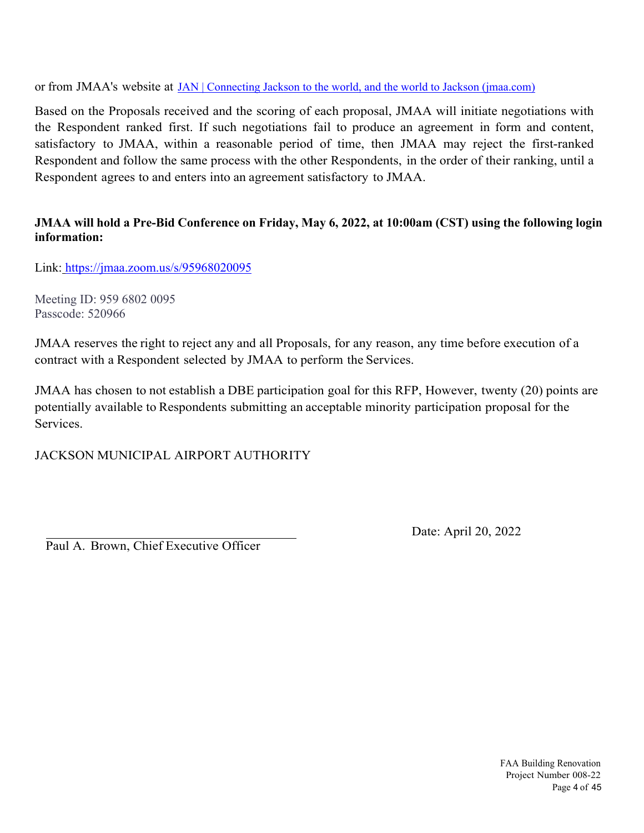or from JMAA's website at JAN | Connecting Jackson to the world, and the world to Jackson (jmaa.com)

Based on the Proposals received and the scoring of each proposal, JMAA will initiate negotiations with the Respondent ranked first. If such negotiations fail to produce an agreement in form and content, satisfactory to JMAA, within a reasonable period of time, then JMAA may reject the first-ranked Respondent and follow the same process with the other Respondents, in the order of their ranking, until a Respondent agrees to and enters into an agreement satisfactory to JMAA.

### **JMAA will hold a Pre-Bid Conference on Friday, May 6, 2022, at 10:00am (CST) using the following login information:**

Link: https://jmaa.zoom.us/s/95968020095

Meeting ID: 959 6802 0095 Passcode: 520966

JMAA reserves the right to reject any and all Proposals, for any reason, any time before execution of a contract with a Respondent selected by JMAA to perform the Services.

JMAA has chosen to not establish a DBE participation goal for this RFP, However, twenty (20) points are potentially available to Respondents submitting an acceptable minority participation proposal for the Services.

JACKSON MUNICIPAL AIRPORT AUTHORITY

Paul A. Brown, Chief Executive Officer

Date: April 20, 2022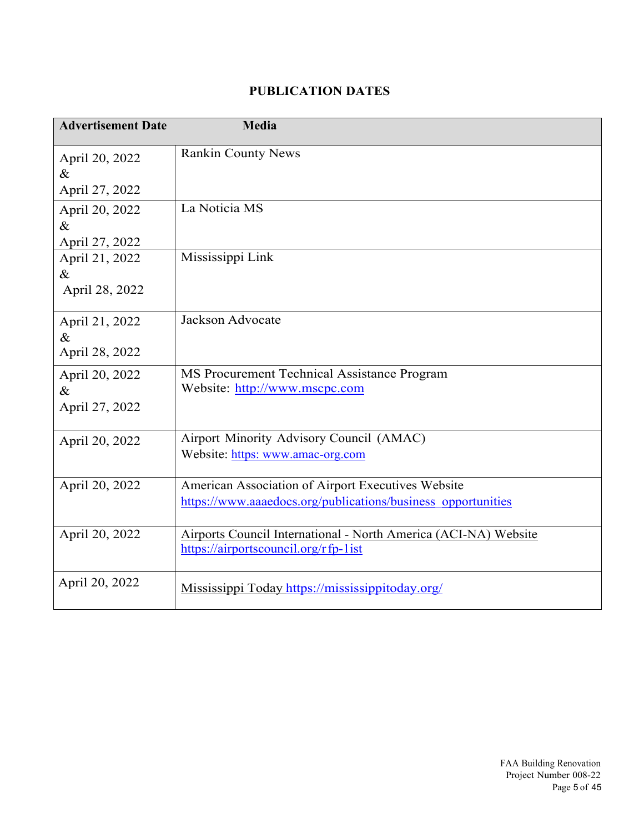## **PUBLICATION DATES**

| <b>Advertisement Date</b> | <b>Media</b>                                                    |
|---------------------------|-----------------------------------------------------------------|
|                           |                                                                 |
| April 20, 2022            | <b>Rankin County News</b>                                       |
| $\&$                      |                                                                 |
| April 27, 2022            |                                                                 |
| April 20, 2022            | La Noticia MS                                                   |
| $\&$                      |                                                                 |
| April 27, 2022            |                                                                 |
| April 21, 2022            | Mississippi Link                                                |
| $\&$                      |                                                                 |
| April 28, 2022            |                                                                 |
| April 21, 2022            | Jackson Advocate                                                |
| $\&$                      |                                                                 |
| April 28, 2022            |                                                                 |
| April 20, 2022            | MS Procurement Technical Assistance Program                     |
| $\&$                      | Website: http://www.mscpc.com                                   |
| April 27, 2022            |                                                                 |
|                           | Airport Minority Advisory Council (AMAC)                        |
| April 20, 2022            | Website: https: www.amac-org.com                                |
|                           |                                                                 |
| April 20, 2022            | American Association of Airport Executives Website              |
|                           | https://www.aaaedocs.org/publications/business_opportunities    |
|                           |                                                                 |
| April 20, 2022            | Airports Council International - North America (ACI-NA) Website |
|                           | https://airportscouncil.org/rfp-1ist                            |
| April 20, 2022            | Mississippi Today https://mississippitoday.org/                 |
|                           |                                                                 |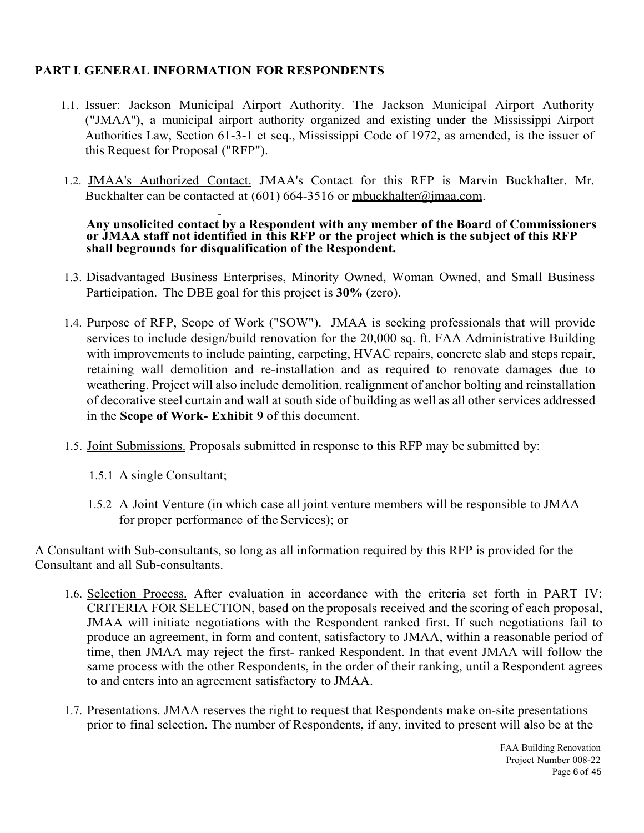### **PART I**. **GENERAL INFORMATION FOR RESPONDENTS**

- 1.1. Issuer: Jackson Municipal Airport Authority. The Jackson Municipal Airport Authority ("JMAA''), a municipal airport authority organized and existing under the Mississippi Airport Authorities Law, Section 61-3-1 et seq., Mississippi Code of 1972, as amended, is the issuer of this Request for Proposal ("RFP").
- 1.2. JMAA's Authorized Contact. JMAA's Contact for this RFP is Marvin Buckhalter. Mr. Buckhalter can be contacted at  $(601)$  664-3516 or mbuckhalter@jmaa.com.

### - **Any unsolicited contact by a Respondent with any member of the Board of Commissioners or JMAA staff not identified in this RFP or the project which is the subject of this RFP shall be grounds for disqualification of the Respondent.**

- 1.3. Disadvantaged Business Enterprises, Minority Owned, Woman Owned, and Small Business Participation. The DBE goal for this project is **30%** (zero).
- 1.4. Purpose of RFP, Scope of Work ("SOW"). JMAA is seeking professionals that will provide services to include design/build renovation for the 20,000 sq. ft. FAA Administrative Building with improvements to include painting, carpeting, HVAC repairs, concrete slab and steps repair, retaining wall demolition and re-installation and as required to renovate damages due to weathering. Project will also include demolition, realignment of anchor bolting and reinstallation of decorative steel curtain and wall at south side of building as well as all other services addressed in the **Scope of Work- Exhibit 9** of this document.
- 1.5. Joint Submissions. Proposals submitted in response to this RFP may be submitted by:
	- 1.5.1 A single Consultant;
	- 1.5.2 A Joint Venture (in which case all joint venture members will be responsible to JMAA for proper performance of the Services); or

A Consultant with Sub-consultants, so long as all information required by this RFP is provided for the Consultant and all Sub-consultants.

- 1.6. Selection Process. After evaluation in accordance with the criteria set forth in PART IV: CRITERIA FOR SELECTION, based on the proposals received and the scoring of each proposal, JMAA will initiate negotiations with the Respondent ranked first. If such negotiations fail to produce an agreement, in form and content, satisfactory to JMAA, within a reasonable period of time, then JMAA may reject the first- ranked Respondent. In that event JMAA will follow the same process with the other Respondents, in the order of their ranking, until a Respondent agrees to and enters into an agreement satisfactory to JMAA.
- 1.7. Presentations. JMAA reserves the right to request that Respondents make on-site presentations prior to final selection. The number of Respondents, if any, invited to present will also be at the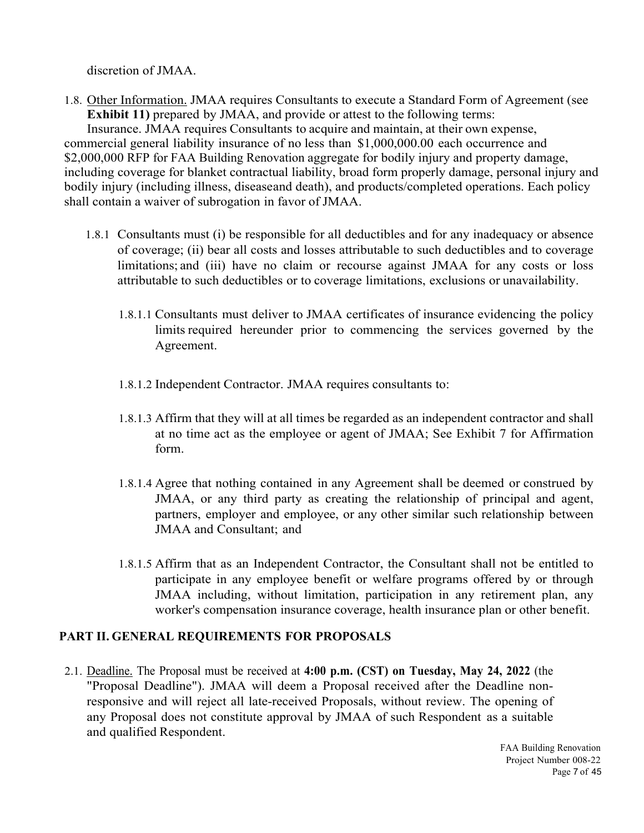discretion of JMAA.

1.8. Other Information. JMAA requires Consultants to execute a Standard Form of Agreement (see **Exhibit 11)** prepared by JMAA, and provide or attest to the following terms: Insurance. JMAA requires Consultants to acquire and maintain, at their own expense, commercial general liability insurance of no less than \$1,000,000.00 each occurrence and \$2,000,000 RFP for FAA Building Renovation aggregate for bodily injury and property damage, including coverage for blanket contractual liability, broad form properly damage, personal injury and bodily injury (including illness, diseaseand death), and products/completed operations. Each policy shall contain a waiver of subrogation in favor of JMAA.

- 1.8.1 Consultants must (i) be responsible for all deductibles and for any inadequacy or absence of coverage; (ii) bear all costs and losses attributable to such deductibles and to coverage limitations; and (iii) have no claim or recourse against JMAA for any costs or loss attributable to such deductibles or to coverage limitations, exclusions or unavailability.
	- 1.8.1.1 Consultants must deliver to JMAA certificates of insurance evidencing the policy limits required hereunder prior to commencing the services governed by the Agreement.
	- 1.8.1.2 Independent Contractor. JMAA requires consultants to:
	- 1.8.1.3 Affirm that they will at all times be regarded as an independent contractor and shall at no time act as the employee or agent of JMAA; See Exhibit 7 for Affirmation form.
	- 1.8.1.4 Agree that nothing contained in any Agreement shall be deemed or construed by JMAA, or any third party as creating the relationship of principal and agent, partners, employer and employee, or any other similar such relationship between JMAA and Consultant; and
	- 1.8.1.5 Affirm that as an Independent Contractor, the Consultant shall not be entitled to participate in any employee benefit or welfare programs offered by or through JMAA including, without limitation, participation in any retirement plan, any worker's compensation insurance coverage, health insurance plan or other benefit.

## **PART II. GENERAL REQUIREMENTS FOR PROPOSALS**

2.1. Deadline. The Proposal must be received at **4:00 p.m. (CST) on Tuesday, May 24, 2022** (the "Proposal Deadline"). JMAA will deem a Proposal received after the Deadline nonresponsive and will reject all late-received Proposals, without review. The opening of any Proposal does not constitute approval by JMAA of such Respondent as a suitable and qualified Respondent.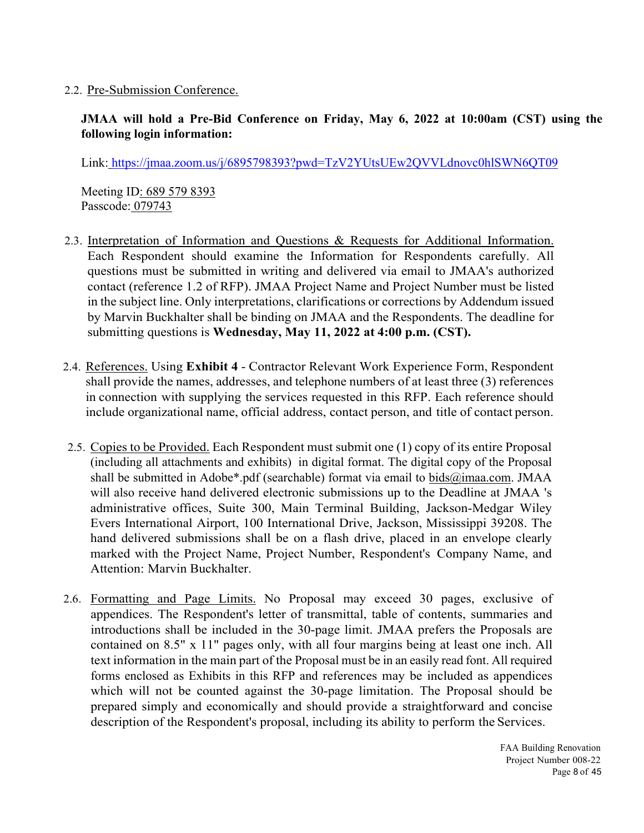### 2.2. Pre-Submission Conference.

## **JMAA will hold a Pre-Bid Conference on Friday, May 6, 2022 at 10:00am (CST) using the following login information:**

Link: https://jmaa.zoom.us/j/6895798393?pwd=TzV2YUtsUEw2QVVLdnovc0hlSWN6QT09

Meeting ID: 689 579 8393 Passcode: 079743

- 2.3. Interpretation of Information and Questions & Requests for Additional Information. Each Respondent should examine the Information for Respondents carefully. All questions must be submitted in writing and delivered via email to JMAA's authorized contact (reference 1.2 of RFP). JMAA Project Name and Project Number must be listed in the subject line. Only interpretations, clarifications or corrections by Addendum issued by Marvin Buckhalter shall be binding on JMAA and the Respondents. The deadline for submitting questions is **Wednesday, May 11, 2022 at 4:00 p.m. (CST).**
- 2.4. References. Using **Exhibit 4**  Contractor Relevant Work Experience Form, Respondent shall provide the names, addresses, and telephone numbers of at least three (3) references in connection with supplying the services requested in this RFP. Each reference should include organizational name, official address, contact person, and title of contact person.
- 2.5. Copies to be Provided. Each Respondent must submit one (1) copy of its entire Proposal (including all attachments and exhibits) in digital format. The digital copy of the Proposal shall be submitted in Adobe\*.pdf (searchable) format via email to bids@imaa.com. JMAA will also receive hand delivered electronic submissions up to the Deadline at JMAA 's administrative offices, Suite 300, Main Terminal Building, Jackson-Medgar Wiley Evers International Airport, 100 International Drive, Jackson, Mississippi 39208. The hand delivered submissions shall be on a flash drive, placed in an envelope clearly marked with the Project Name, Project Number, Respondent's Company Name, and Attention: Marvin Buckhalter.
- 2.6. Formatting and Page Limits. No Proposal may exceed 30 pages, exclusive of appendices. The Respondent's letter of transmittal, table of contents, summaries and introductions shall be included in the 30-page limit. JMAA prefers the Proposals are contained on 8.5" x 11" pages only, with all four margins being at least one inch. All text information in the main part of the Proposal must be in an easily read font. All required forms enclosed as Exhibits in this RFP and references may be included as appendices which will not be counted against the 30-page limitation. The Proposal should be prepared simply and economically and should provide a straightforward and concise description of the Respondent's proposal, including its ability to perform the Services.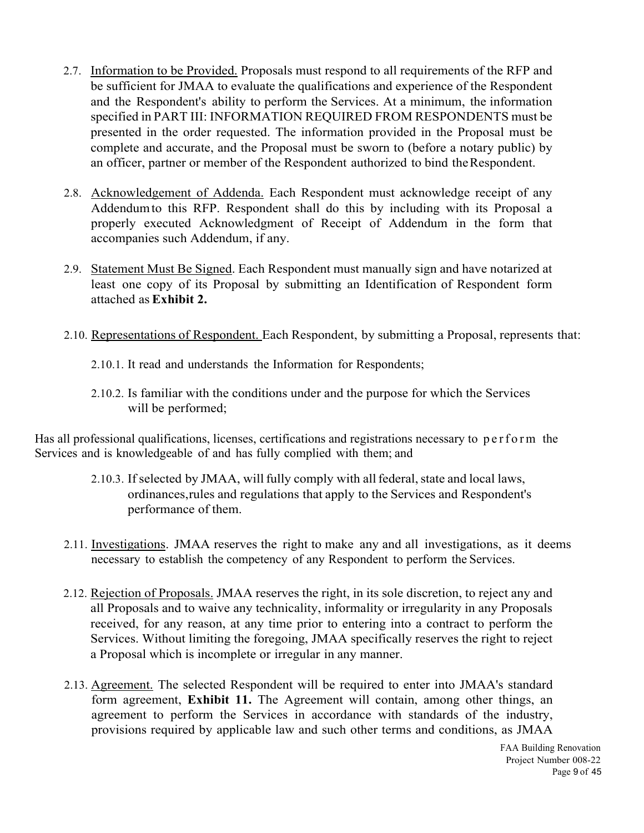- 2.7. Information to be Provided. Proposals must respond to all requirements of the RFP and be sufficient for JMAA to evaluate the qualifications and experience of the Respondent and the Respondent's ability to perform the Services. At a minimum, the information specified in PART III: INFORMATION REQUIRED FROM RESPONDENTS must be presented in the order requested. The information provided in the Proposal must be complete and accurate, and the Proposal must be sworn to (before a notary public) by an officer, partner or member of the Respondent authorized to bind the Respondent.
- 2.8. Acknowledgement of Addenda. Each Respondent must acknowledge receipt of any Addendum to this RFP. Respondent shall do this by including with its Proposal a properly executed Acknowledgment of Receipt of Addendum in the form that accompanies such Addendum, if any.
- 2.9. Statement Must Be Signed. Each Respondent must manually sign and have notarized at least one copy of its Proposal by submitting an Identification of Respondent form attached as **Exhibit 2.**
- 2.10. Representations of Respondent. Each Respondent, by submitting a Proposal, represents that:
	- 2.10.1. It read and understands the Information for Respondents;
	- 2.10.2. Is familiar with the conditions under and the purpose for which the Services will be performed;

Has all professional qualifications, licenses, certifications and registrations necessary to perform the Services and is knowledgeable of and has fully complied with them; and

- 2.10.3. If selected by JMAA, will fully comply with all federal, state and local laws, ordinances, rules and regulations that apply to the Services and Respondent's performance of them.
- 2.11. Investigations. JMAA reserves the right to make any and all investigations, as it deems necessary to establish the competency of any Respondent to perform the Services.
- 2.12. Rejection of Proposals. JMAA reserves the right, in its sole discretion, to reject any and all Proposals and to waive any technicality, informality or irregularity in any Proposals received, for any reason, at any time prior to entering into a contract to perform the Services. Without limiting the foregoing, JMAA specifically reserves the right to reject a Proposal which is incomplete or irregular in any manner.
- 2.13. Agreement. The selected Respondent will be required to enter into JMAA's standard form agreement, **Exhibit 11.** The Agreement will contain, among other things, an agreement to perform the Services in accordance with standards of the industry, provisions required by applicable law and such other terms and conditions, as JMAA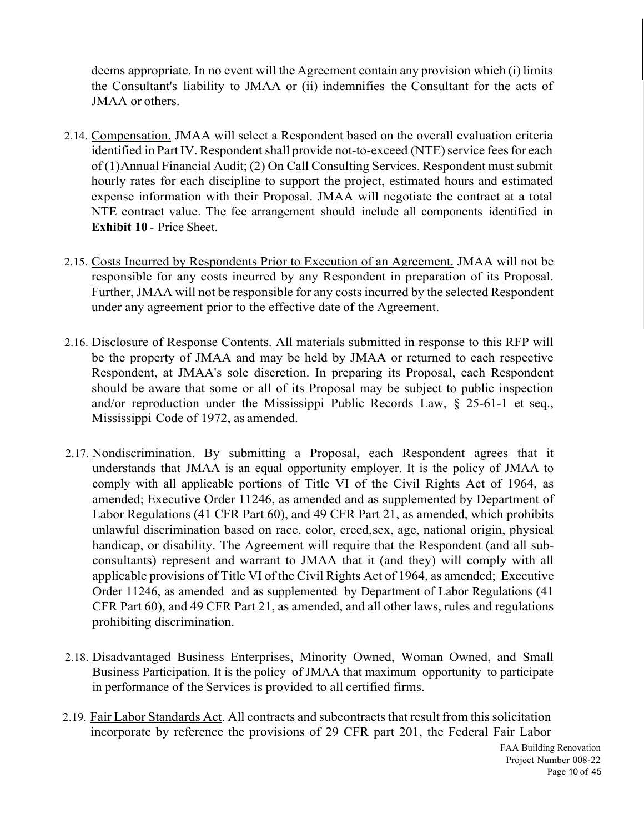deems appropriate. In no event will the Agreement contain any provision which (i) limits the Consultant's liability to JMAA or (ii) indemnifies the Consultant for the acts of JMAA or others.

- 2.14. Compensation. JMAA will select a Respondent based on the overall evaluation criteria identified in Part IV. Respondent shall provide not-to-exceed (NTE) service fees for each of (1) Annual Financial Audit; (2) On Call Consulting Services. Respondent must submit hourly rates for each discipline to support the project, estimated hours and estimated expense information with their Proposal. JMAA will negotiate the contract at a total NTE contract value. The fee arrangement should include all components identified in **Exhibit 10** - Price Sheet.
- 2.15. Costs Incurred by Respondents Prior to Execution of an Agreement. JMAA will not be responsible for any costs incurred by any Respondent in preparation of its Proposal. Further, JMAA will not be responsible for any costs incurred by the selected Respondent under any agreement prior to the effective date of the Agreement.
- 2.16. Disclosure of Response Contents. All materials submitted in response to this RFP will be the property of JMAA and may be held by JMAA or returned to each respective Respondent, at JMAA's sole discretion. In preparing its Proposal, each Respondent should be aware that some or all of its Proposal may be subject to public inspection and/or reproduction under the Mississippi Public Records Law, § 25-61-1 et seq., Mississippi Code of 1972, as amended.
- 2.17. Nondiscrimination. By submitting a Proposal, each Respondent agrees that it understands that JMAA is an equal opportunity employer. It is the policy of JMAA to comply with all applicable portions of Title VI of the Civil Rights Act of 1964, as amended; Executive Order 11246, as amended and as supplemented by Department of Labor Regulations (41 CFR Part 60), and 49 CFR Part 21, as amended, which prohibits unlawful discrimination based on race, color, creed, sex, age, national origin, physical handicap, or disability. The Agreement will require that the Respondent (and all subconsultants) represent and warrant to JMAA that it (and they) will comply with all applicable provisions of Title VI of the Civil Rights Act of 1964, as amended; Executive Order 11246, as amended and as supplemented by Department of Labor Regulations (41 CFR Part 60), and 49 CFR Part 21, as amended, and all other laws, rules and regulations prohibiting discrimination.
- 2.18. Disadvantaged Business Enterprises, Minority Owned, Woman Owned, and Small Business Participation. It is the policy of JMAA that maximum opportunity to participate in performance of the Services is provided to all certified firms.
- 2.19. Fair Labor Standards Act. All contracts and subcontracts that result from this solicitation incorporate by reference the provisions of 29 CFR part 201, the Federal Fair Labor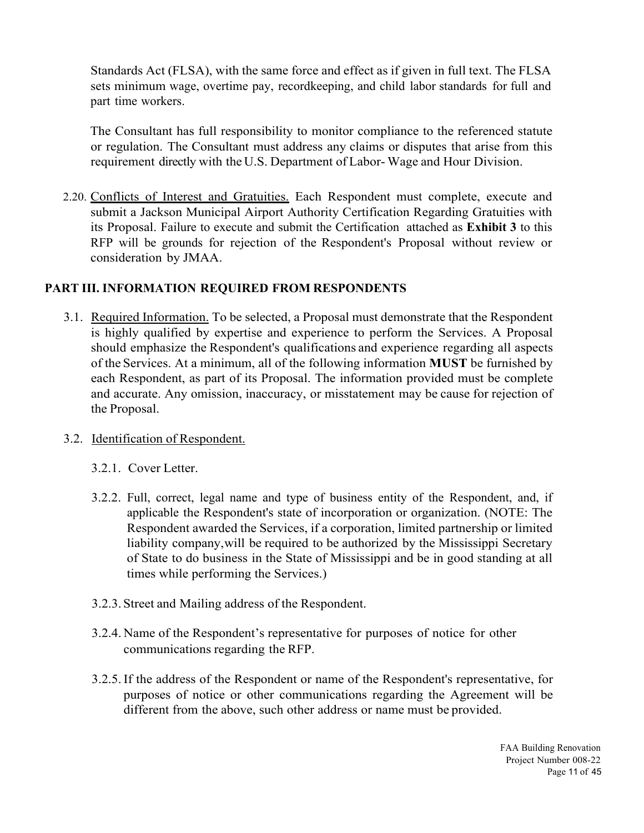Standards Act (FLSA), with the same force and effect as if given in full text. The FLSA sets minimum wage, overtime pay, recordkeeping, and child labor standards for full and part time workers.

The Consultant has full responsibility to monitor compliance to the referenced statute or regulation. The Consultant must address any claims or disputes that arise from this requirement directly with the U.S. Department of Labor- Wage and Hour Division.

2.20. Conflicts of Interest and Gratuities. Each Respondent must complete, execute and submit a Jackson Municipal Airport Authority Certification Regarding Gratuities with its Proposal. Failure to execute and submit the Certification attached as **Exhibit 3** to this RFP will be grounds for rejection of the Respondent's Proposal without review or consideration by JMAA.

### **PART III. INFORMATION REQUIRED FROM RESPONDENTS**

- 3.1. Required Information. To be selected, a Proposal must demonstrate that the Respondent is highly qualified by expertise and experience to perform the Services. A Proposal should emphasize the Respondent's qualifications and experience regarding all aspects of the Services. At a minimum, all of the following information **MUST** be furnished by each Respondent, as part of its Proposal. The information provided must be complete and accurate. Any omission, inaccuracy, or misstatement may be cause for rejection of the Proposal.
- 3.2. Identification of Respondent.
	- 3.2.1. Cover Letter.
	- 3.2.2. Full, correct, legal name and type of business entity of the Respondent, and, if applicable the Respondent's state of incorporation or organization. (NOTE: The Respondent awarded the Services, if a corporation, limited partnership or limited liability company, will be required to be authorized by the Mississippi Secretary of State to do business in the State of Mississippi and be in good standing at all times while performing the Services.)
	- 3.2.3.Street and Mailing address of the Respondent.
	- 3.2.4. Name of the Respondent's representative for purposes of notice for other communications regarding the RFP.
	- 3.2.5.If the address of the Respondent or name of the Respondent's representative, for purposes of notice or other communications regarding the Agreement will be different from the above, such other address or name must be provided.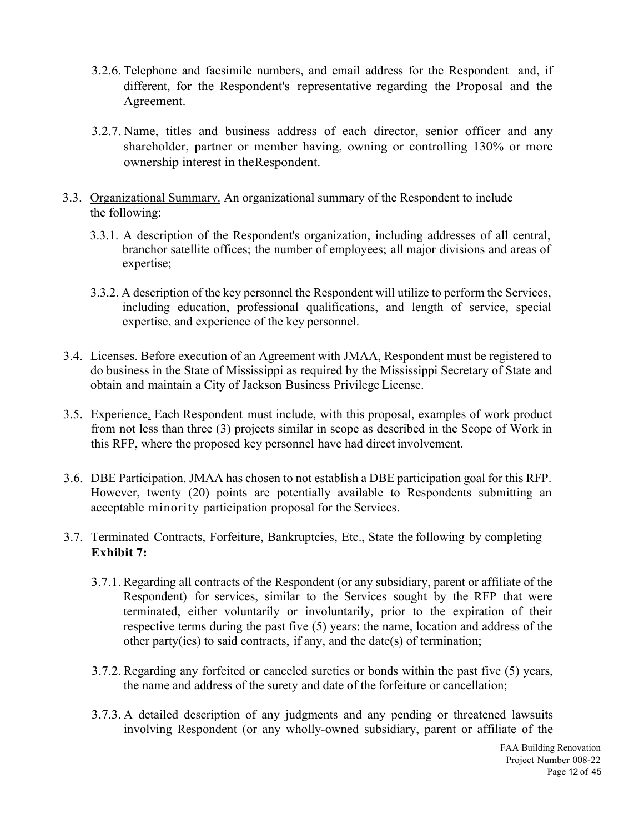- 3.2.6. Telephone and facsimile numbers, and email address for the Respondent and, if different, for the Respondent's representative regarding the Proposal and the Agreement.
- 3.2.7. Name, titles and business address of each director, senior officer and any shareholder, partner or member having, owning or controlling 130% or more ownership interest in the Respondent.
- 3.3. Organizational Summary. An organizational summary of the Respondent to include the following:
	- 3.3.1. A description of the Respondent's organization, including addresses of all central, branchor satellite offices; the number of employees; all major divisions and areas of expertise;
	- 3.3.2. A description of the key personnel the Respondent will utilize to perform the Services, including education, professional qualifications, and length of service, special expertise, and experience of the key personnel.
- 3.4. Licenses. Before execution of an Agreement with JMAA, Respondent must be registered to do business in the State of Mississippi as required by the Mississippi Secretary of State and obtain and maintain a City of Jackson Business Privilege License.
- 3.5. Experience. Each Respondent must include, with this proposal, examples of work product from not less than three (3) projects similar in scope as described in the Scope of Work in this RFP, where the proposed key personnel have had direct involvement.
- 3.6. DBE Participation. JMAA has chosen to not establish a DBE participation goal for this RFP. However, twenty (20) points are potentially available to Respondents submitting an acceptable minority participation proposal for the Services.

### 3.7. Terminated Contracts, Forfeiture, Bankruptcies, Etc., State the following by completing **Exhibit 7:**

- 3.7.1. Regarding all contracts of the Respondent (or any subsidiary, parent or affiliate of the Respondent) for services, similar to the Services sought by the RFP that were terminated, either voluntarily or involuntarily, prior to the expiration of their respective terms during the past five (5) years: the name, location and address of the other party(ies) to said contracts, if any, and the date(s) of termination;
- 3.7.2.Regarding any forfeited or canceled sureties or bonds within the past five (5) years, the name and address of the surety and date of the forfeiture or cancellation;
- 3.7.3. A detailed description of any judgments and any pending or threatened lawsuits involving Respondent (or any wholly-owned subsidiary, parent or affiliate of the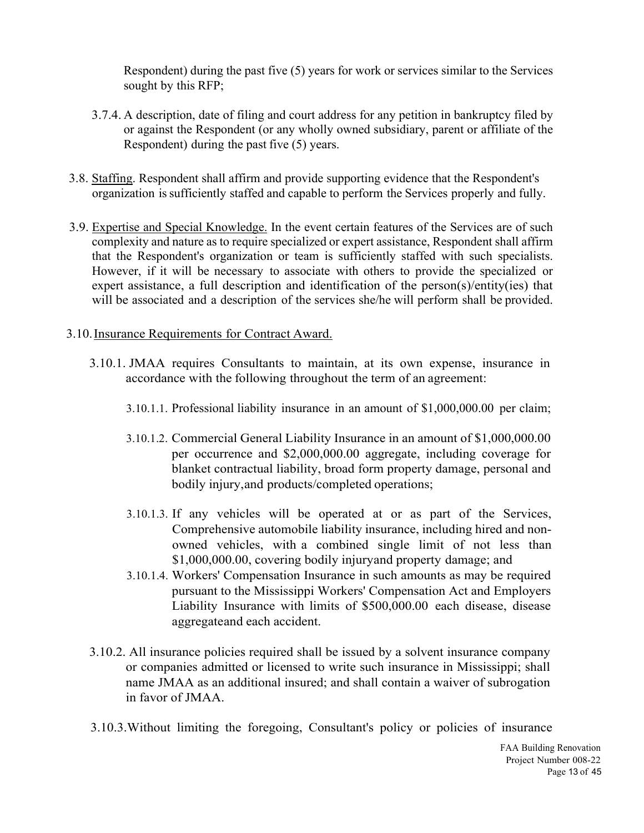Respondent) during the past five (5) years for work or services similar to the Services sought by this RFP;

- 3.7.4. A description, date of filing and court address for any petition in bankruptcy filed by or against the Respondent (or any wholly owned subsidiary, parent or affiliate of the Respondent) during the past five (5) years.
- 3.8. Staffing. Respondent shall affirm and provide supporting evidence that the Respondent's organization is sufficiently staffed and capable to perform the Services properly and fully.
- 3.9. Expertise and Special Knowledge. In the event certain features of the Services are of such complexity and nature as to require specialized or expert assistance, Respondent shall affirm that the Respondent's organization or team is sufficiently staffed with such specialists. However, if it will be necessary to associate with others to provide the specialized or expert assistance, a full description and identification of the person(s)/entity(ies) that will be associated and a description of the services she/he will perform shall be provided.
- 3.10.Insurance Requirements for Contract Award.
	- 3.10.1. JMAA requires Consultants to maintain, at its own expense, insurance in accordance with the following throughout the term of an agreement:
		- 3.10.1.1. Professional liability insurance in an amount of \$1,000,000.00 per claim;
		- 3.10.1.2. Commercial General Liability Insurance in an amount of \$1,000,000.00 per occurrence and \$2,000,000.00 aggregate, including coverage for blanket contractual liability, broad form property damage, personal and bodily injury, and products/completed operations;
		- 3.10.1.3. If any vehicles will be operated at or as part of the Services, Comprehensive automobile liability insurance, including hired and nonowned vehicles, with a combined single limit of not less than \$1,000,000.00, covering bodily injury and property damage; and
		- 3.10.1.4. Workers' Compensation Insurance in such amounts as may be required pursuant to the Mississippi Workers' Compensation Act and Employers Liability Insurance with limits of \$500,000.00 each disease, disease aggregate and each accident.
	- 3.10.2. All insurance policies required shall be issued by a solvent insurance company or companies admitted or licensed to write such insurance in Mississippi; shall name JMAA as an additional insured; and shall contain a waiver of subrogation in favor of JMAA.
	- 3.10.3.Without limiting the foregoing, Consultant's policy or policies of insurance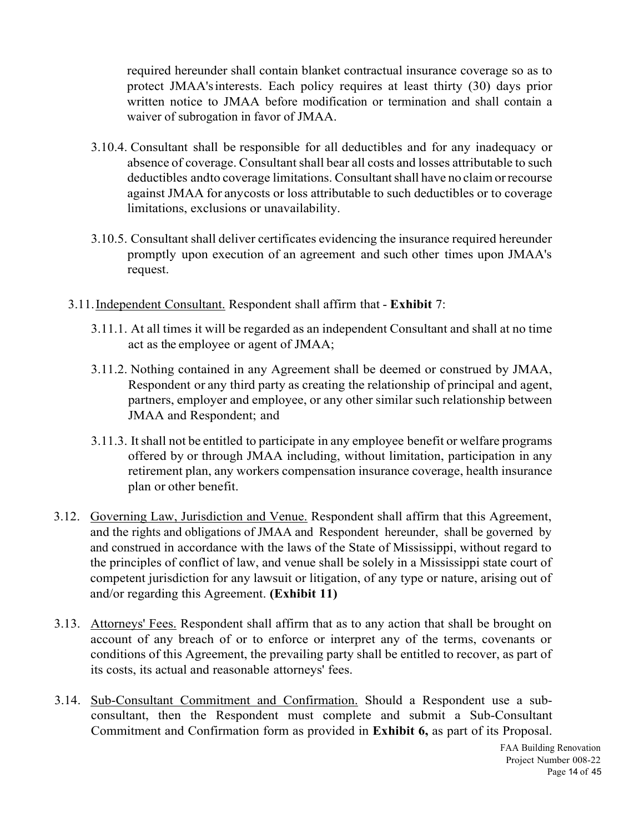required hereunder shall contain blanket contractual insurance coverage so as to protect JMAA's interests. Each policy requires at least thirty (30) days prior written notice to JMAA before modification or termination and shall contain a waiver of subrogation in favor of JMAA.

- 3.10.4. Consultant shall be responsible for all deductibles and for any inadequacy or absence of coverage. Consultant shall bear all costs and losses attributable to such deductibles and to coverage limitations. Consultant shall have no claim or recourse against JMAA for any costs or loss attributable to such deductibles or to coverage limitations, exclusions or unavailability.
- 3.10.5. Consultant shall deliver certificates evidencing the insurance required hereunder promptly upon execution of an agreement and such other times upon JMAA's request.
- 3.11.Independent Consultant. Respondent shall affirm that **Exhibit** 7:
	- 3.11.1. At all times it will be regarded as an independent Consultant and shall at no time act as the employee or agent of JMAA;
	- 3.11.2. Nothing contained in any Agreement shall be deemed or construed by JMAA, Respondent or any third party as creating the relationship of principal and agent, partners, employer and employee, or any other similar such relationship between JMAA and Respondent; and
	- 3.11.3. It shall not be entitled to participate in any employee benefit or welfare programs offered by or through JMAA including, without limitation, participation in any retirement plan, any workers compensation insurance coverage, health insurance plan or other benefit.
- 3.12. Governing Law, Jurisdiction and Venue. Respondent shall affirm that this Agreement, and the rights and obligations of JMAA and Respondent hereunder, shall be governed by and construed in accordance with the laws of the State of Mississippi, without regard to the principles of conflict of law, and venue shall be solely in a Mississippi state court of competent jurisdiction for any lawsuit or litigation, of any type or nature, arising out of and/or regarding this Agreement. **(Exhibit 11)**
- 3.13. Attorneys' Fees. Respondent shall affirm that as to any action that shall be brought on account of any breach of or to enforce or interpret any of the terms, covenants or conditions of this Agreement, the prevailing party shall be entitled to recover, as part of its costs, its actual and reasonable attorneys' fees.
- 3.14. Sub-Consultant Commitment and Confirmation. Should a Respondent use a subconsultant, then the Respondent must complete and submit a Sub-Consultant Commitment and Confirmation form as provided in **Exhibit 6,** as part of its Proposal.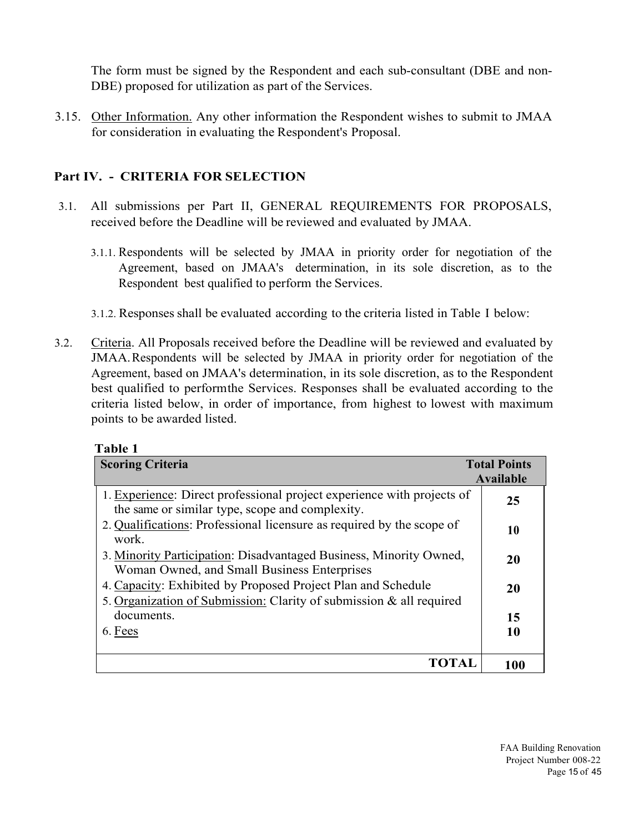The form must be signed by the Respondent and each sub-consultant (DBE and non-DBE) proposed for utilization as part of the Services.

3.15. Other Information. Any other information the Respondent wishes to submit to JMAA for consideration in evaluating the Respondent's Proposal.

## **Part IV. - CRITERIA FOR SELECTION**

- 3.1. All submissions per Part II, GENERAL REQUIREMENTS FOR PROPOSALS, received before the Deadline will be reviewed and evaluated by JMAA.
	- 3.1.1. Respondents will be selected by JMAA in priority order for negotiation of the Agreement, based on JMAA's determination, in its sole discretion, as to the Respondent best qualified to perform the Services.
	- 3.1.2. Responses shall be evaluated according to the criteria listed in Table I below:
- 3.2. Criteria. All Proposals received before the Deadline will be reviewed and evaluated by JMAA. Respondents will be selected by JMAA in priority order for negotiation of the Agreement, based on JMAA's determination, in its sole discretion, as to the Respondent best qualified to perform the Services. Responses shall be evaluated according to the criteria listed below, in order of importance, from highest to lowest with maximum points to be awarded listed.

| <b>Scoring Criteria</b>                                                                                                             | <b>Total Points</b> |
|-------------------------------------------------------------------------------------------------------------------------------------|---------------------|
|                                                                                                                                     | Available           |
| 1. Experience: Direct professional project experience with projects of<br>the same or similar type, scope and complexity.           | 25                  |
| 2. Qualifications: Professional licensure as required by the scope of<br>work.                                                      | 10                  |
| 3. Minority Participation: Disadvantaged Business, Minority Owned,<br>Woman Owned, and Small Business Enterprises                   | 20                  |
| 4. Capacity: Exhibited by Proposed Project Plan and Schedule<br>5. Organization of Submission: Clarity of submission & all required | 20                  |
| documents.                                                                                                                          | 15                  |
| 6. Fees                                                                                                                             | 10                  |
| TOTAL                                                                                                                               | 100                 |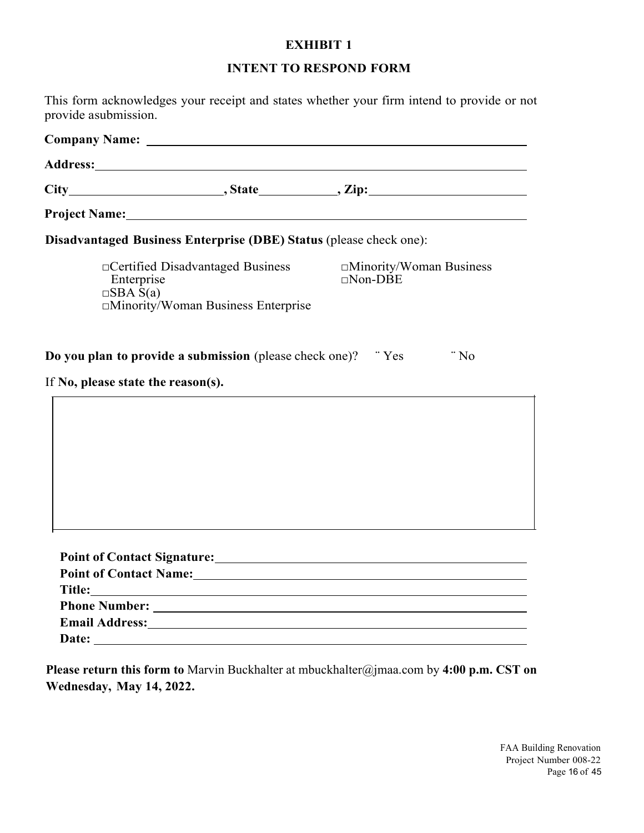### **INTENT TO RESPOND FORM**

This form acknowledges your receipt and states whether your firm intend to provide or not provide a submission.

|                                    | Disadvantaged Business Enterprise (DBE) Status (please check one): |                                                                                                                                                                                                                                |
|------------------------------------|--------------------------------------------------------------------|--------------------------------------------------------------------------------------------------------------------------------------------------------------------------------------------------------------------------------|
| Enterprise<br>$\Box$ SBA S(a)      | □Minority/Woman Business Enterprise                                | □ Certified Disadvantaged Business △ □ Minority/Woman Business<br>$\Box$ Non-DBE                                                                                                                                               |
| If No, please state the reason(s). | Do you plan to provide a submission (please check one)? "Yes       | $\degree$ No                                                                                                                                                                                                                   |
|                                    |                                                                    |                                                                                                                                                                                                                                |
|                                    |                                                                    |                                                                                                                                                                                                                                |
|                                    |                                                                    |                                                                                                                                                                                                                                |
|                                    |                                                                    |                                                                                                                                                                                                                                |
|                                    |                                                                    |                                                                                                                                                                                                                                |
|                                    |                                                                    | Point of Contact Signature: Manual Accounts of Contact Signature:                                                                                                                                                              |
|                                    |                                                                    | Point of Contact Name: Manual Contract Name and Secretary Annual Contract Order of Contact Name:                                                                                                                               |
|                                    |                                                                    |                                                                                                                                                                                                                                |
|                                    |                                                                    |                                                                                                                                                                                                                                |
|                                    |                                                                    | Email Address: No. 1998. The Contract of the Contract of the Contract of the Contract of the Contract of the Contract of the Contract of the Contract of the Contract of the Contract of the Contract of the Contract of the C |
|                                    |                                                                    |                                                                                                                                                                                                                                |

**Please return this form to** Marvin Buckhalter at mbuckhalter@jmaa.com by **4:00 p.m. CST on Wednesday, May 14, 2022.**

> FAA Building Renovation Project Number 008-22 Page 16 of 45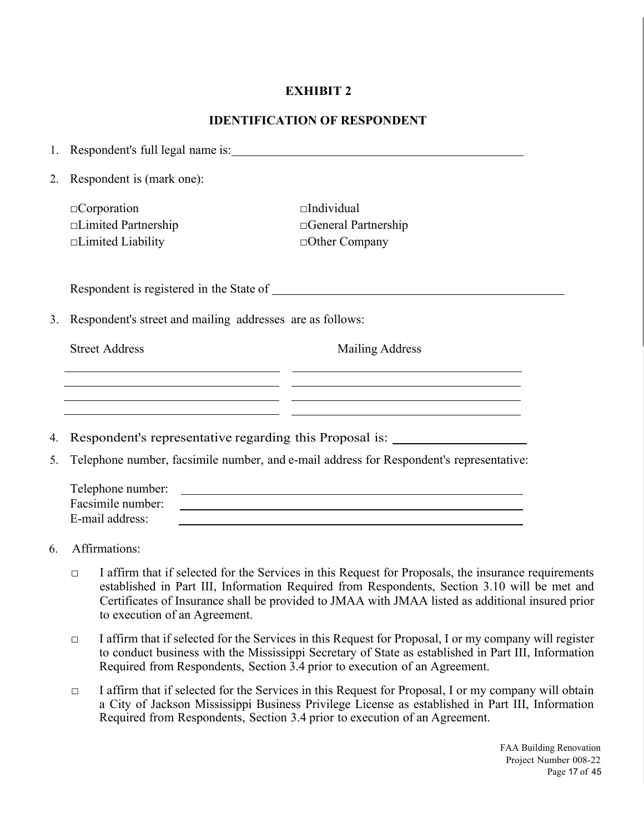### **IDENTIFICATION OF RESPONDENT**

|    |                                                           | 1. Respondent's full legal name is:                                                                                                                                                               |
|----|-----------------------------------------------------------|---------------------------------------------------------------------------------------------------------------------------------------------------------------------------------------------------|
| 2. | Respondent is (mark one):                                 |                                                                                                                                                                                                   |
|    | $\Box$ Corporation                                        | $\Box$ Individual                                                                                                                                                                                 |
|    | □Limited Partnership                                      | □General Partnership                                                                                                                                                                              |
|    | $\Box$ Limited Liability                                  | □Other Company                                                                                                                                                                                    |
|    |                                                           |                                                                                                                                                                                                   |
| 3. | Respondent's street and mailing addresses are as follows: |                                                                                                                                                                                                   |
|    | <b>Street Address</b>                                     | <b>Mailing Address</b><br><u> 1989 - Johann Harry Harry Harry Harry Harry Harry Harry Harry Harry Harry Harry Harry Harry Harry Harry Harry</u>                                                   |
| 4. |                                                           | <u> 1989 - Andrea Santana, Amerikaansk politiker (* 1908)</u><br><u> 2002 - Andrea Andrew Maria (b. 1982)</u><br>Respondent's representative regarding this Proposal is: ________________________ |
|    |                                                           |                                                                                                                                                                                                   |
| 5. |                                                           | Telephone number, facsimile number, and e-mail address for Respondent's representative:                                                                                                           |
|    | Telephone number:                                         | <u> 1999 - Johann Stoff, amerikansk politiker (d. 1989)</u>                                                                                                                                       |
|    | Facsimile number:                                         |                                                                                                                                                                                                   |
|    | E-mail address:                                           |                                                                                                                                                                                                   |
|    | $\epsilon$ $\Lambda$ frame objections.                    |                                                                                                                                                                                                   |

- 6. Affirmations:
	- □ I affirm that if selected for the Services in this Request for Proposals, the insurance requirements established in Part III, Information Required from Respondents, Section 3.10 will be met and Certificates of Insurance shall be provided to JMAA with JMAA listed as additional insured prior to execution of an Agreement.
	- $\Box$  I affirm that if selected for the Services in this Request for Proposal, I or my company will register to conduct business with the Mississippi Secretary of State as established in Part III, Information Required from Respondents, Section 3.4 prior to execution of an Agreement.
	- $\Box$  I affirm that if selected for the Services in this Request for Proposal, I or my company will obtain a City of Jackson Mississippi Business Privilege License as established in Part III, Information Required from Respondents, Section 3.4 prior to execution of an Agreement.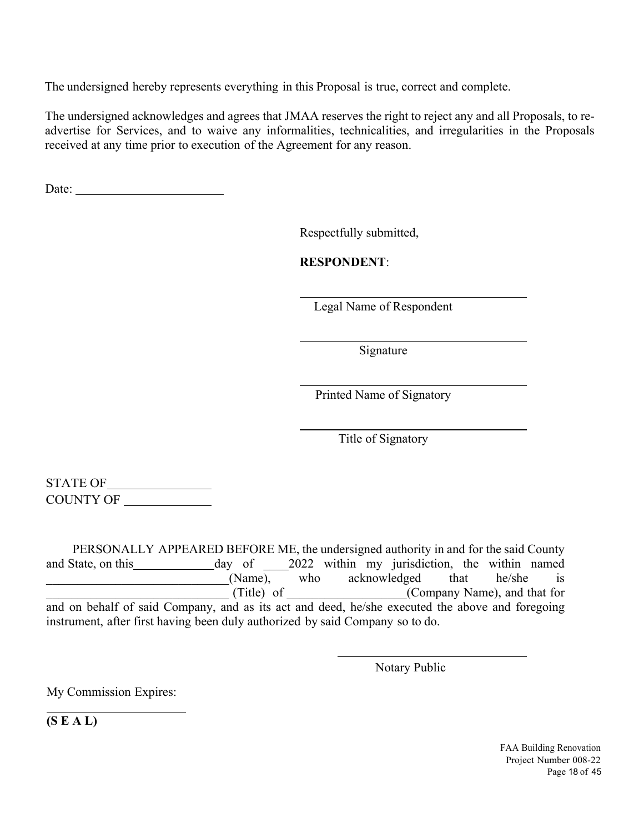The undersigned hereby represents everything in this Proposal is true, correct and complete.

The undersigned acknowledges and agrees that JMAA reserves the right to reject any and all Proposals, to readvertise for Services, and to waive any informalities, technicalities, and irregularities in the Proposals received at any time prior to execution of the Agreement for any reason.

Date:

Respectfully submitted,

**RESPONDENT**:

Legal Name of Respondent

Signature

Printed Name of Signatory

Title of Signatory

STATE OF COUNTY OF

 PERSONALLY APPEARED BEFORE ME, the undersigned authority in and for the said County and State, on this day of 2022 within my jurisdiction, the within named (Name), who acknowledged that he/she is<br>(Title) of (Company Name), and that for \_\_\_\_\_\_\_\_\_\_\_\_\_\_\_\_\_\_\_\_\_\_\_\_\_\_\_\_\_ (Title) of \_\_\_\_\_\_\_\_\_\_\_\_\_\_\_\_\_\_\_(Company Name), and that for and on behalf of said Company, and as its act and deed, he/she executed the above and foregoing instrument, after first having been duly authorized by said Company so to do.

Notary Public

My Commission Expires:

**(S E A L)** 

 $\overline{a}$ 

FAA Building Renovation Project Number 008-22 Page 18 of 45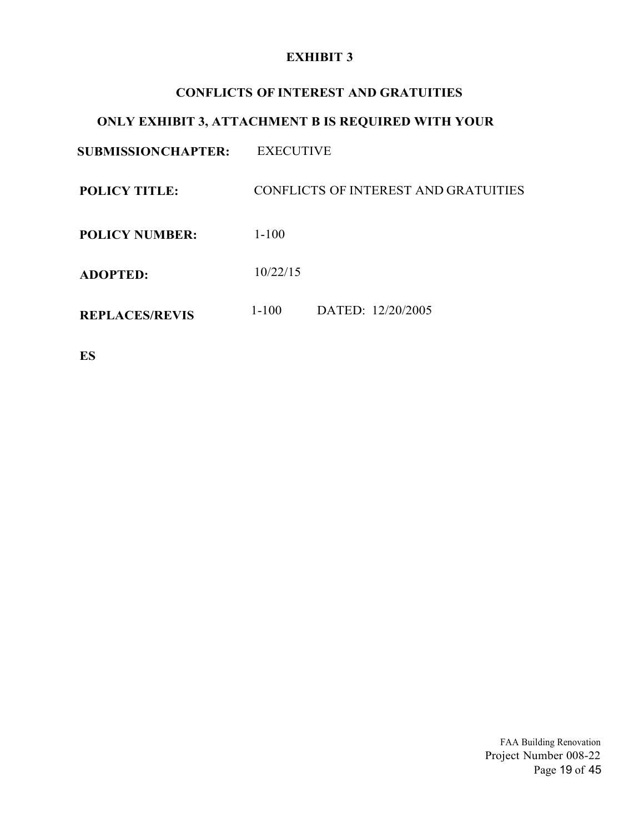### **CONFLICTS OF INTEREST AND GRATUITIES**

## **ONLY EXHIBIT 3, ATTACHMENT B IS REQUIRED WITH YOUR**

**SUBMISSION CHAPTER:** EXECUTIVE

**POLICY TITLE:** CONFLICTS OF INTEREST AND GRATUITIES

**POLICY NUMBER:**  1-100

**ADOPTED:**  10/22/15

**REPLACES/REVIS** 1-100 DATED: 12/20/2005

**ES** 

FAA Building Renovation Project Number 008-22 Page 19 of 45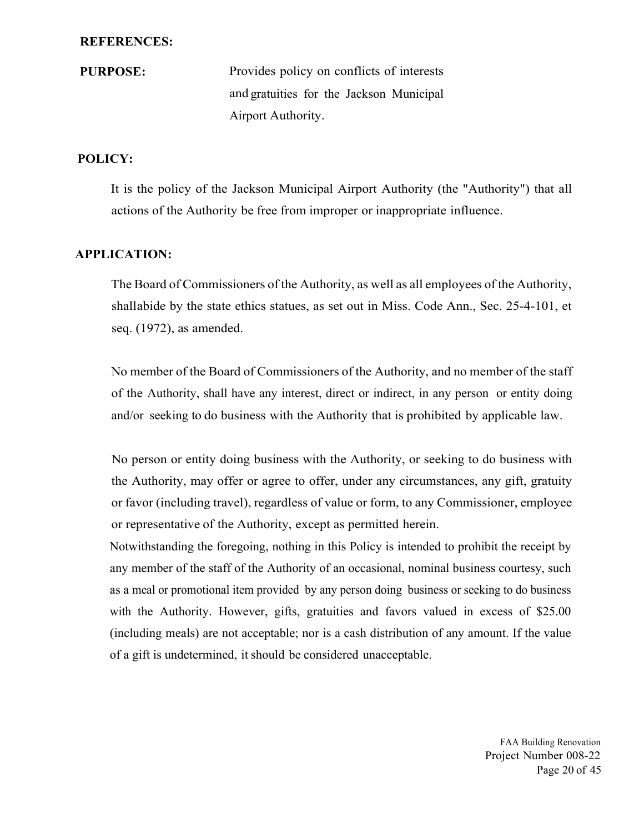#### **REFERENCES:**

**PURPOSE:** Provides policy on conflicts of interests and gratuities for the Jackson Municipal Airport Authority.

### **POLICY:**

It is the policy of the Jackson Municipal Airport Authority (the "Authority") that all actions of the Authority be free from improper or inappropriate influence.

### **APPLICATION:**

The Board of Commissioners of the Authority, as well as all employees of the Authority, shall abide by the state ethics statues, as set out in Miss. Code Ann., Sec. 25-4-101, et seq. (1972), as amended.

No member of the Board of Commissioners of the Authority, and no member of the staff of the Authority, shall have any interest, direct or indirect, in any person or entity doing and/or seeking to do business with the Authority that is prohibited by applicable law.

No person or entity doing business with the Authority, or seeking to do business with the Authority, may offer or agree to offer, under any circumstances, any gift, gratuity or favor (including travel), regardless of value or form, to any Commissioner, employee or representative of the Authority, except as permitted herein.

Notwithstanding the foregoing, nothing in this Policy is intended to prohibit the receipt by any member of the staff of the Authority of an occasional, nominal business courtesy, such as a meal or promotional item provided by any person doing business or seeking to do business with the Authority. However, gifts, gratuities and favors valued in excess of \$25.00 (including meals) are not acceptable; nor is a cash distribution of any amount. If the value of a gift is undetermined, it should be considered unacceptable.

> FAA Building Renovation Project Number 008-22 Page 20 of 45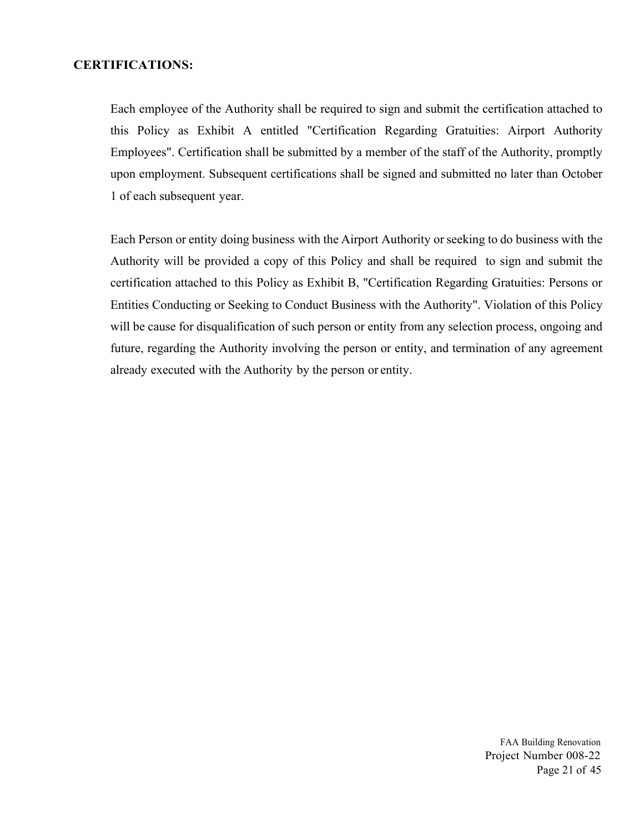### **CERTIFICATIONS:**

Each employee of the Authority shall be required to sign and submit the certification attached to this Policy as Exhibit A entitled "Certification Regarding Gratuities: Airport Authority Employees". Certification shall be submitted by a member of the staff of the Authority, promptly upon employment. Subsequent certifications shall be signed and submitted no later than October 1 of each subsequent year.

Each Person or entity doing business with the Airport Authority or seeking to do business with the Authority will be provided a copy of this Policy and shall be required to sign and submit the certification attached to this Policy as Exhibit B, "Certification Regarding Gratuities: Persons or Entities Conducting or Seeking to Conduct Business with the Authority". Violation of this Policy will be cause for disqualification of such person or entity from any selection process, ongoing and future, regarding the Authority involving the person or entity, and termination of any agreement already executed with the Authority by the person or entity.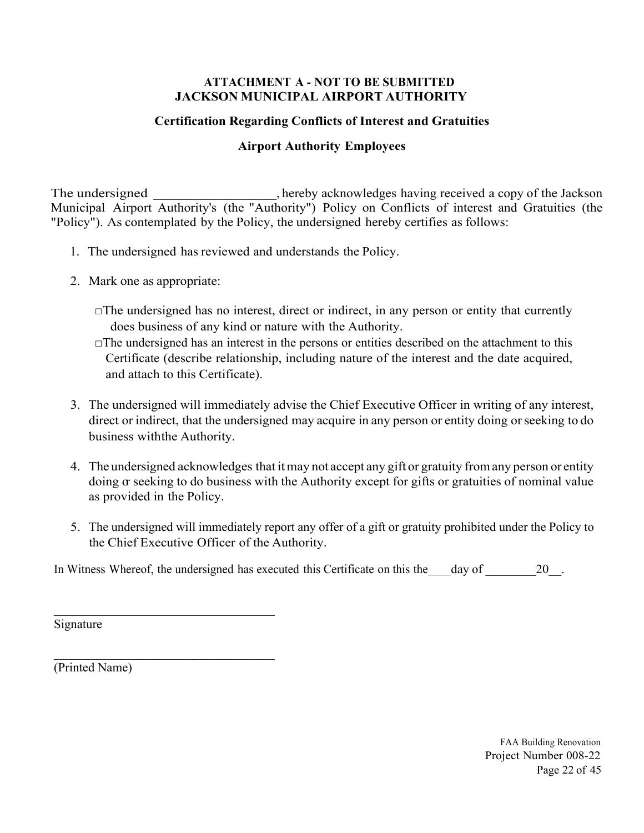### **ATTACHMENT A - NOT TO BE SUBMITTED JACKSON MUNICIPAL AIRPORT AUTHORITY**

## **Certification Regarding Conflicts of Interest and Gratuities**

## **Airport Authority Employees**

The undersigned \_\_\_\_\_\_\_\_\_\_\_\_\_\_, hereby acknowledges having received a copy of the Jackson Municipal Airport Authority's (the "Authority") Policy on Conflicts of interest and Gratuities (the "Policy"). As contemplated by the Policy, the undersigned hereby certifies as follows:

- 1. The undersigned has reviewed and understands the Policy.
- 2. Mark one as appropriate:
	- $\Box$ The undersigned has no interest, direct or indirect, in any person or entity that currently does business of any kind or nature with the Authority.
	- $\Box$ The undersigned has an interest in the persons or entities described on the attachment to this Certificate (describe relationship, including nature of the interest and the date acquired, and attach to this Certificate).
- 3. The undersigned will immediately advise the Chief Executive Officer in writing of any interest, direct or indirect, that the undersigned may acquire in any person or entity doing or seeking to do business with the Authority.
- 4. The undersigned acknowledges that it may not accept any gift or gratuity from any person or entity doing  $\alpha$  seeking to do business with the Authority except for gifts or gratuities of nominal value as provided in the Policy.
- 5. The undersigned will immediately report any offer of a gift or gratuity prohibited under the Policy to the Chief Executive Officer of the Authority.

In Witness Whereof, the undersigned has executed this Certificate on this the day of 20.

Signature

(Printed Name)

FAA Building Renovation Project Number 008-22 Page 22 of 45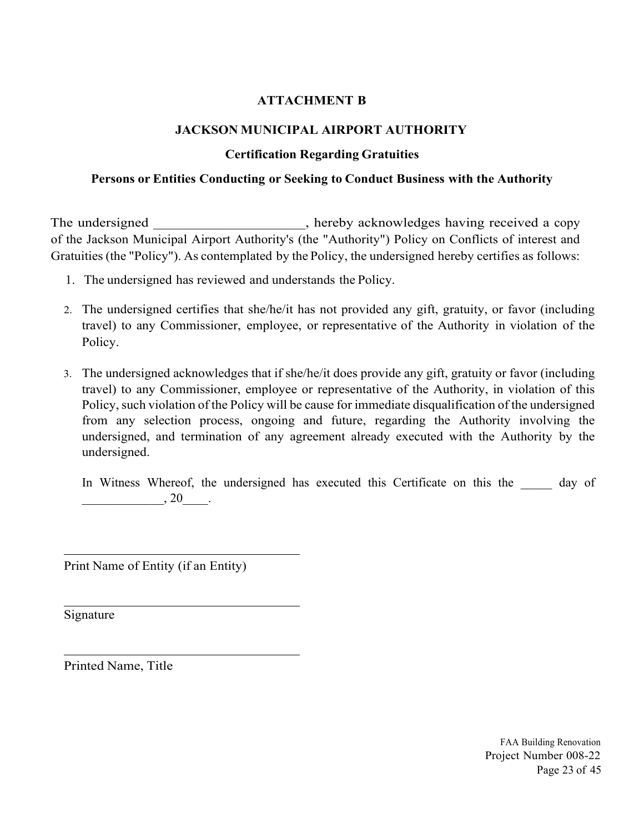### **ATTACHMENT B**

### **JACKSON MUNICIPAL AIRPORT AUTHORITY**

### **Certification Regarding Gratuities**

### **Persons or Entities Conducting or Seeking to Conduct Business with the Authority**

The undersigned \_\_\_\_\_\_\_\_\_\_\_\_\_\_\_\_\_, hereby acknowledges having received a copy of the Jackson Municipal Airport Authority's (the "Authority") Policy on Conflicts of interest and Gratuities (the "Policy"). As contemplated by the Policy, the undersigned hereby certifies as follows:

- 1. The undersigned has reviewed and understands the Policy.
- 2. The undersigned certifies that she/he/it has not provided any gift, gratuity, or favor (including travel) to any Commissioner, employee, or representative of the Authority in violation of the Policy.
- 3. The undersigned acknowledges that if she/he/it does provide any gift, gratuity or favor (including travel) to any Commissioner, employee or representative of the Authority, in violation of this Policy, such violation of the Policy will be cause for immediate disqualification of the undersigned from any selection process, ongoing and future, regarding the Authority involving the undersigned, and termination of any agreement already executed with the Authority by the undersigned.

In Witness Whereof, the undersigned has executed this Certificate on this the day of  $, 20$ .

Print Name of Entity (if an Entity)

Signature

 $\overline{a}$ 

 $\overline{a}$ 

l

Printed Name, Title

FAA Building Renovation Project Number 008-22 Page 23 of 45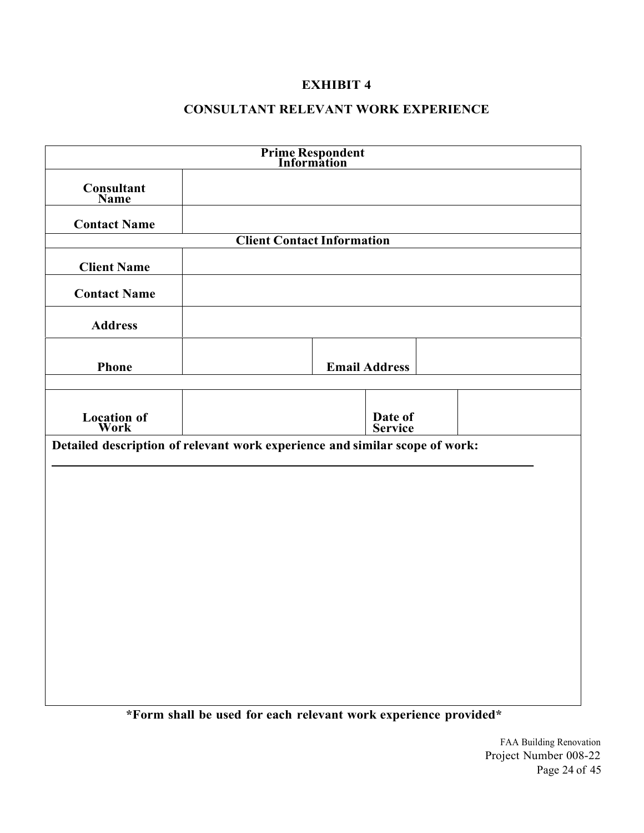### **CONSULTANT RELEVANT WORK EXPERIENCE**

|                            | <b>Prime Respondent<br/>Information</b>                                     |
|----------------------------|-----------------------------------------------------------------------------|
| Consultant<br>Name         |                                                                             |
| <b>Contact Name</b>        |                                                                             |
|                            | <b>Client Contact Information</b>                                           |
| <b>Client Name</b>         |                                                                             |
| <b>Contact Name</b>        |                                                                             |
| <b>Address</b>             |                                                                             |
| Phone                      | <b>Email Address</b>                                                        |
| <b>Location of</b><br>Work | Date of<br>Service                                                          |
|                            | Detailed description of relevant work experience and similar scope of work: |
|                            |                                                                             |
|                            |                                                                             |
|                            |                                                                             |
|                            |                                                                             |
|                            |                                                                             |
|                            |                                                                             |
|                            |                                                                             |
|                            | *Form shall be used for each relevant work experience provided*             |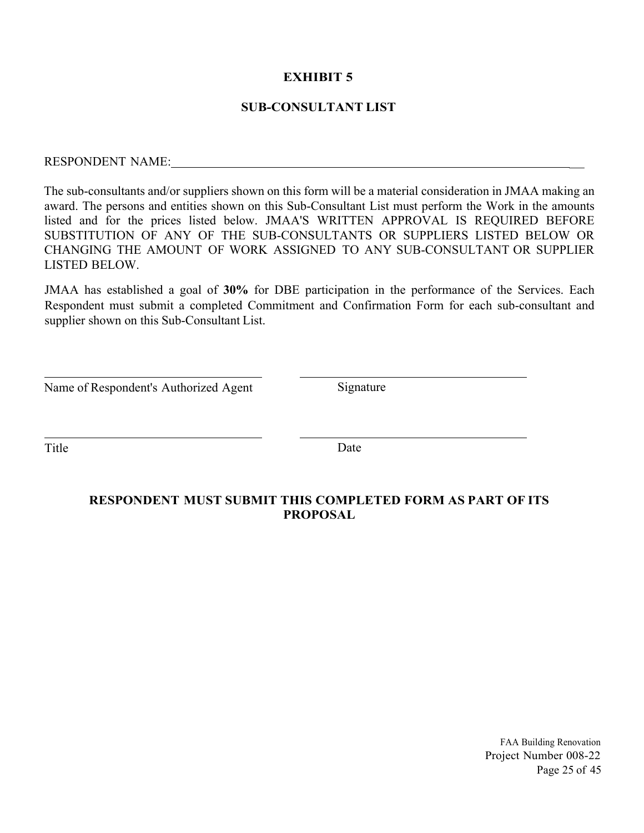### **SUB-CONSULTANT LIST**

# RESPONDENT NAME: \_

The sub-consultants and/or suppliers shown on this form will be a material consideration in JMAA making an award. The persons and entities shown on this Sub-Consultant List must perform the Work in the amounts listed and for the prices listed below. JMAA'S WRITTEN APPROVAL IS REQUIRED BEFORE SUBSTITUTION OF ANY OF THE SUB-CONSULTANTS OR SUPPLIERS LISTED BELOW OR CHANGING THE AMOUNT OF WORK ASSIGNED TO ANY SUB-CONSULTANT OR SUPPLIER LISTED BELOW.

JMAA has established a goal of **30%** for DBE participation in the performance of the Services. Each Respondent must submit a completed Commitment and Confirmation Form for each sub-consultant and supplier shown on this Sub-Consultant List.

| Name of Respondent's Authorized Agent |  |  |
|---------------------------------------|--|--|
|---------------------------------------|--|--|

Signature

 $\overline{a}$ 

 $\overline{a}$ 

Title Date

### **RESPONDENT MUST SUBMIT THIS COMPLETED FORM AS PART OF ITS PROPOSAL**

FAA Building Renovation Project Number 008-22 Page 25 of 45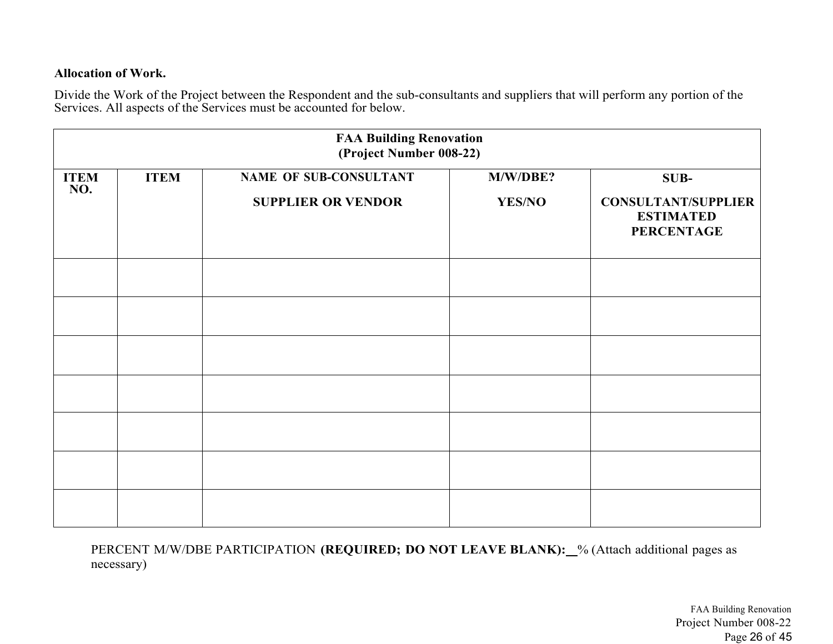### **Allocation of Work.**

Divide the Work of the Project between the Respondent and the sub-consultants and suppliers that will perform any portion of the Services. All aspects of the Services must be accounted for below.

|                    |             | <b>FAA Building Renovation</b><br>(Project Number 008-22) |               |                                                                     |
|--------------------|-------------|-----------------------------------------------------------|---------------|---------------------------------------------------------------------|
| <b>ITEM</b><br>NO. | <b>ITEM</b> | <b>NAME OF SUB-CONSULTANT</b>                             | M/W/DBE?      | SUB-                                                                |
|                    |             | <b>SUPPLIER OR VENDOR</b>                                 | <b>YES/NO</b> | <b>CONSULTANT/SUPPLIER</b><br><b>ESTIMATED</b><br><b>PERCENTAGE</b> |
|                    |             |                                                           |               |                                                                     |
|                    |             |                                                           |               |                                                                     |
|                    |             |                                                           |               |                                                                     |
|                    |             |                                                           |               |                                                                     |
|                    |             |                                                           |               |                                                                     |
|                    |             |                                                           |               |                                                                     |
|                    |             |                                                           |               |                                                                     |

PERCENT M/W/DBE PARTICIPATION **(REQUIRED; DO NOT LEAVE BLANK):** % (Attach additional pages as necessary)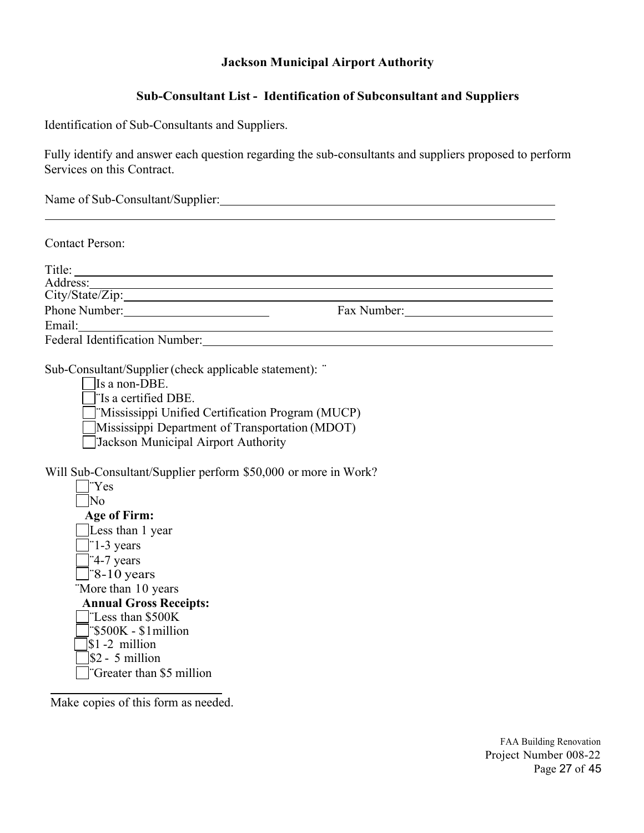### **Jackson Municipal Airport Authority**

### **Sub-Consultant List - Identification of Subconsultant and Suppliers**

Identification of Sub-Consultants and Suppliers.

Fully identify and answer each question regarding the sub-consultants and suppliers proposed to perform Services on this Contract.

Name of Sub-Consultant/Supplier: Manual Consultant of Sub-Consultant / Supplier:

Contact Person:

| Title:                                |             |
|---------------------------------------|-------------|
| Address:                              |             |
| City/State/Zip:                       |             |
| Phone Number:                         | Fax Number: |
| Email:                                |             |
| <b>Federal Identification Number:</b> |             |

Sub-Consultant/Supplier (check applicable statement): ¨

Is a non-DBE.

¨Is a certified DBE.

¨Mississippi Unified Certification Program (MUCP)

Mississippi Department of Transportation (MDOT)

¨Jackson Municipal Airport Authority

Will Sub-Consultant/Supplier perform \$50,000 or more in Work?

| 'Yes                                        |
|---------------------------------------------|
| N٥                                          |
| <b>Age of Firm:</b>                         |
| Less than 1 year                            |
| "1-3 years                                  |
| $\left  \right $ 4-7 years                  |
| $\equiv$ 8-10 years                         |
| "More than 10 years                         |
| <b>Annual Gross Receipts:</b>               |
| "Less than \$500K                           |
| $ \text{S500K} - \text{S1} \text{million} $ |
| $ \$1 - 2$ million                          |
| $\$ {2 - 5} million                         |
|                                             |
| Greater than \$5 million                    |

Make copies of this form as needed.

 $\overline{a}$ 

FAA Building Renovation Project Number 008-22 Page 27 of 45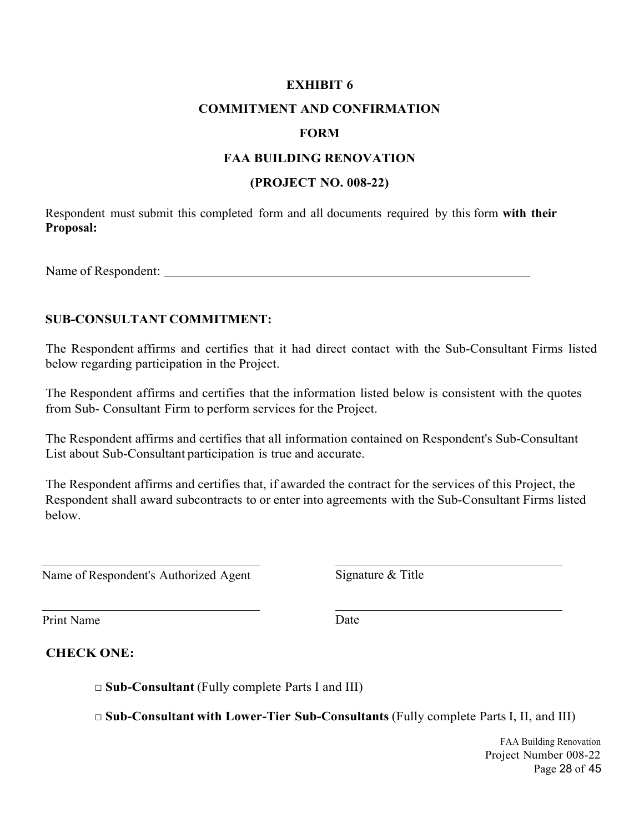### **COMMITMENT AND CONFIRMATION**

### **FORM**

### **FAA BUILDING RENOVATION**

### **(PROJECT NO. 008-22)**

Respondent must submit this completed form and all documents required by this form **with their Proposal:** 

Name of Respondent:

### **SUB-CONSULTANT COMMITMENT:**

The Respondent affirms and certifies that it had direct contact with the Sub-Consultant Firms listed below regarding participation in the Project.

The Respondent affirms and certifies that the information listed below is consistent with the quotes from Sub- Consultant Firm to perform services for the Project.

The Respondent affirms and certifies that all information contained on Respondent's Sub-Consultant List about Sub-Consultant participation is true and accurate.

The Respondent affirms and certifies that, if awarded the contract for the services of this Project, the Respondent shall award subcontracts to or enter into agreements with the Sub-Consultant Firms listed below.

Name of Respondent's Authorized Agent Signature & Title

Print Name Date

 $\overline{a}$ 

### **CHECK ONE:**

□ **Sub-Consultant** (Fully complete Parts I and III)

□ **Sub-Consultant with Lower-Tier Sub-Consultants** (Fully complete Parts I, II, and III)

FAA Building Renovation Project Number 008-22 Page 28 of 45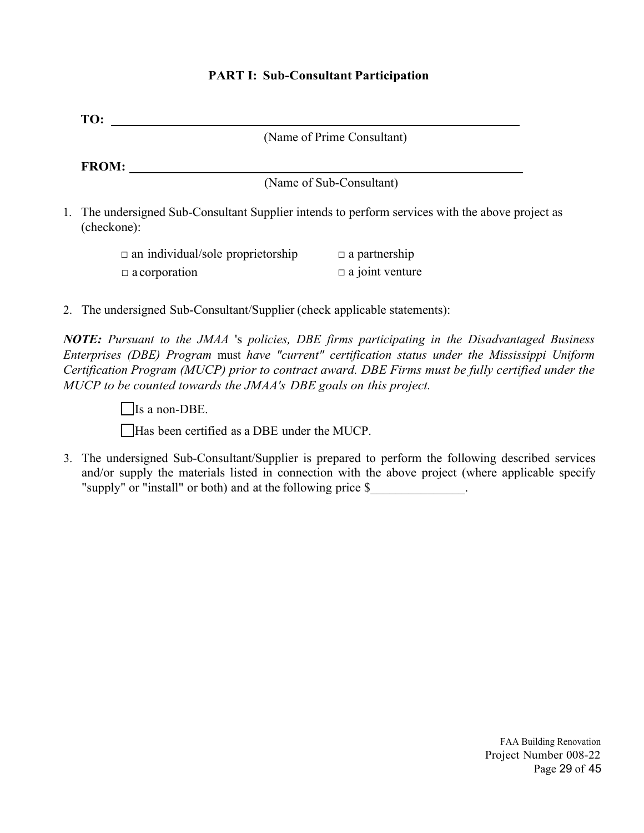| TO:                                                                                                                                                                                                                                                                                                                                                                               |
|-----------------------------------------------------------------------------------------------------------------------------------------------------------------------------------------------------------------------------------------------------------------------------------------------------------------------------------------------------------------------------------|
| (Name of Prime Consultant)                                                                                                                                                                                                                                                                                                                                                        |
| FROM:                                                                                                                                                                                                                                                                                                                                                                             |
| (Name of Sub-Consultant)                                                                                                                                                                                                                                                                                                                                                          |
| 1. The undersigned Sub-Consultant Supplier intends to perform services with the above project as<br>(checkone):                                                                                                                                                                                                                                                                   |
| $\Box$ a partnership<br>$\Box$ an individual/sole proprietorship                                                                                                                                                                                                                                                                                                                  |
| $\Box$ a joint venture<br>$\Box$ a corporation                                                                                                                                                                                                                                                                                                                                    |
| 2. The undersigned Sub-Consultant/Supplier (check applicable statements):                                                                                                                                                                                                                                                                                                         |
| <b>NOTE:</b> Pursuant to the JMAA 's policies, DBE firms participating in the Disadvantaged Business<br>Enterprises (DBE) Program must have "current" certification status under the Mississippi Uniform<br>Certification Program (MUCP) prior to contract award. DBE Firms must be fully certified under the<br>MUCP to be counted towards the JMAA's DBE goals on this project. |
| Is a non-DBE.                                                                                                                                                                                                                                                                                                                                                                     |
| Has been certified as a DBE under the MUCP.                                                                                                                                                                                                                                                                                                                                       |
| 3. The undersigned Sub-Consultant/Supplier is prepared to perform the following described services<br>and/or supply the materials listed in connection with the above project (where applicable specify<br>"supply" or "install" or both) and at the following price \$                                                                                                           |
|                                                                                                                                                                                                                                                                                                                                                                                   |
|                                                                                                                                                                                                                                                                                                                                                                                   |
|                                                                                                                                                                                                                                                                                                                                                                                   |
|                                                                                                                                                                                                                                                                                                                                                                                   |
|                                                                                                                                                                                                                                                                                                                                                                                   |
|                                                                                                                                                                                                                                                                                                                                                                                   |
|                                                                                                                                                                                                                                                                                                                                                                                   |
|                                                                                                                                                                                                                                                                                                                                                                                   |
|                                                                                                                                                                                                                                                                                                                                                                                   |

# **PART I: Sub-Consultant Participation**

FAA Building Renovation Project Number 008-22 Page 29 of 45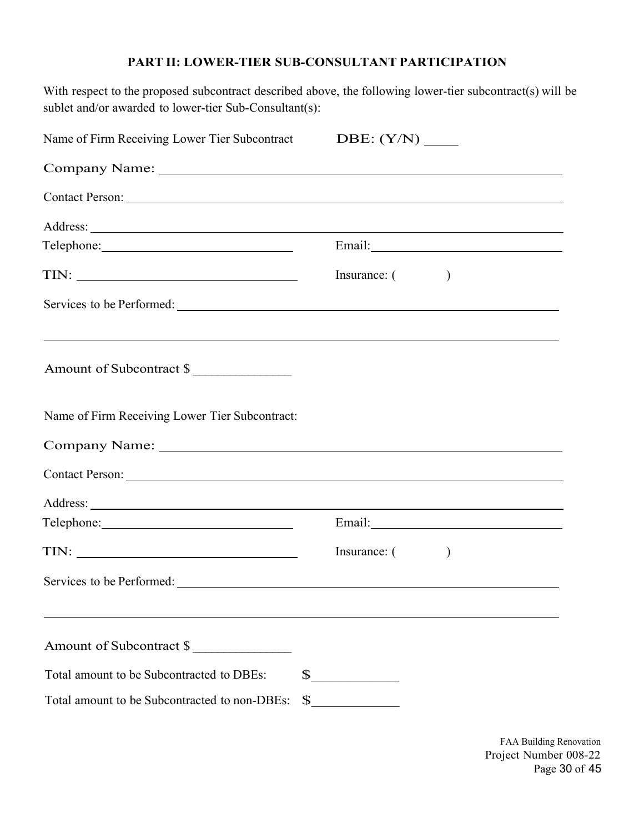### **PART II: LOWER-TIER SUB-CONSULTANT PARTICIPATION**

With respect to the proposed subcontract described above, the following lower-tier subcontract(s) will be sublet and/or awarded to lower-tier Sub-Consultant(s):

| Name of Firm Receiving Lower Tier Subcontract  |              |              |                                                                                                                                                                                                                               |  |
|------------------------------------------------|--------------|--------------|-------------------------------------------------------------------------------------------------------------------------------------------------------------------------------------------------------------------------------|--|
|                                                |              |              |                                                                                                                                                                                                                               |  |
| Contact Person: Lawrence Contact Person:       |              |              |                                                                                                                                                                                                                               |  |
|                                                |              |              |                                                                                                                                                                                                                               |  |
|                                                |              |              |                                                                                                                                                                                                                               |  |
|                                                |              | Insurance: ( |                                                                                                                                                                                                                               |  |
|                                                |              |              |                                                                                                                                                                                                                               |  |
| Amount of Subcontract \$                       |              |              |                                                                                                                                                                                                                               |  |
| Name of Firm Receiving Lower Tier Subcontract: |              |              |                                                                                                                                                                                                                               |  |
|                                                |              |              |                                                                                                                                                                                                                               |  |
| Contact Person: New York Contact Person:       |              |              |                                                                                                                                                                                                                               |  |
|                                                |              |              |                                                                                                                                                                                                                               |  |
|                                                |              |              | Email: Note and the set of the set of the set of the set of the set of the set of the set of the set of the set of the set of the set of the set of the set of the set of the set of the set of the set of the set of the set |  |
|                                                |              | Insurance: ( |                                                                                                                                                                                                                               |  |
|                                                |              |              |                                                                                                                                                                                                                               |  |
| Amount of Subcontract \$                       |              |              |                                                                                                                                                                                                                               |  |
| Total amount to be Subcontracted to DBEs:      |              |              |                                                                                                                                                                                                                               |  |
| Total amount to be Subcontracted to non-DBEs:  | $\mathbb{S}$ |              |                                                                                                                                                                                                                               |  |

FAA Building Renovation Project Number 008-22 Page 30 of 45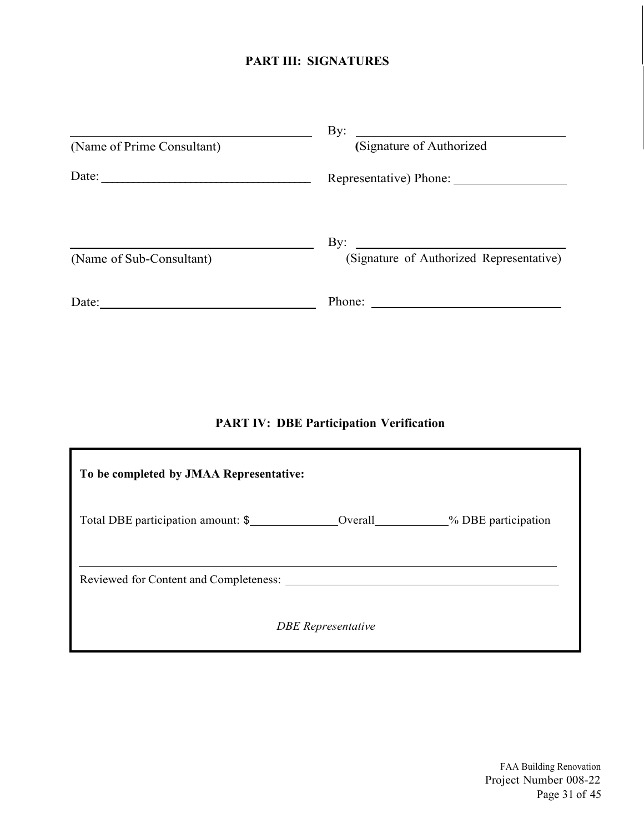## **PART III: SIGNATURES**

|                            | By:<br><u> 1980 - Andrea Station Books, amerikansk politik (</u>                                                                       |
|----------------------------|----------------------------------------------------------------------------------------------------------------------------------------|
| (Name of Prime Consultant) | (Signature of Authorized                                                                                                               |
| Date:                      | Representative) Phone:                                                                                                                 |
|                            | $\mathbf{By:}$<br><u> 1989 - Jan Stein Stein Stein Stein Stein Stein Stein Stein Stein Stein Stein Stein Stein Stein Stein Stein S</u> |
| (Name of Sub-Consultant)   | (Signature of Authorized Representative)                                                                                               |
| Date:                      | Phone:<br><u> 1989 - Andrea Stadt Britain, fransk politik (</u>                                                                        |

## **PART IV: DBE Participation Verification**

| To be completed by JMAA Representative:      |                           |                      |  |  |  |
|----------------------------------------------|---------------------------|----------------------|--|--|--|
| Total DBE participation amount: \$           |                           | _% DBE participation |  |  |  |
| Reviewed for Content and Completeness: _____ |                           |                      |  |  |  |
|                                              | <b>DBE</b> Representative |                      |  |  |  |

FAA Building Renovation Project Number 008-22 Page 31 of 45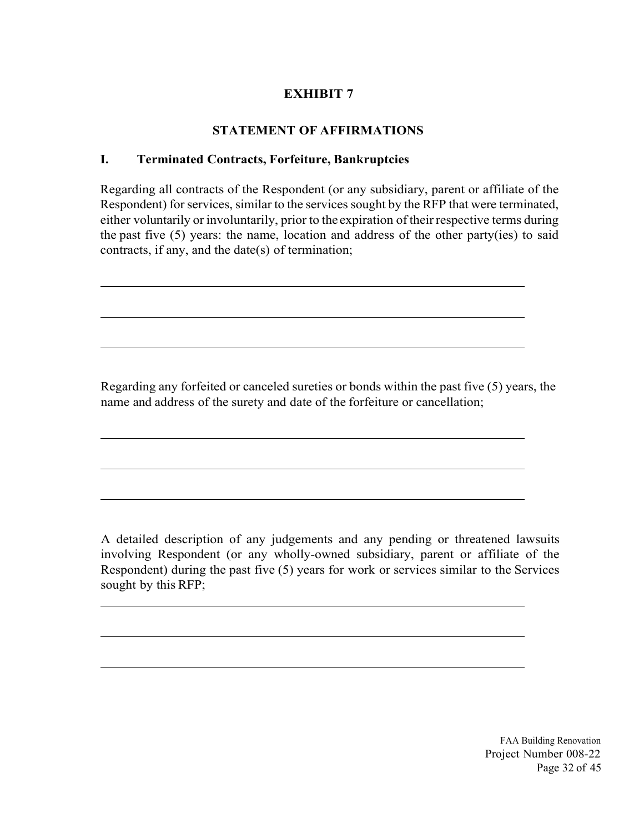## **STATEMENT OF AFFIRMATIONS**

## **I. Terminated Contracts, Forfeiture, Bankruptcies**

Regarding all contracts of the Respondent (or any subsidiary, parent or affiliate of the Respondent) for services, similar to the services sought by the RFP that were terminated, either voluntarily or involuntarily, prior to the expiration of their respective terms during the past five (5) years: the name, location and address of the other party(ies) to said contracts, if any, and the date(s) of termination;

Regarding any forfeited or canceled sureties or bonds within the past five (5) years, the name and address of the surety and date of the forfeiture or cancellation;

A detailed description of any judgements and any pending or threatened lawsuits involving Respondent (or any wholly-owned subsidiary, parent or affiliate of the Respondent) during the past five (5) years for work or services similar to the Services sought by this RFP;

> FAA Building Renovation Project Number 008-22 Page 32 of 45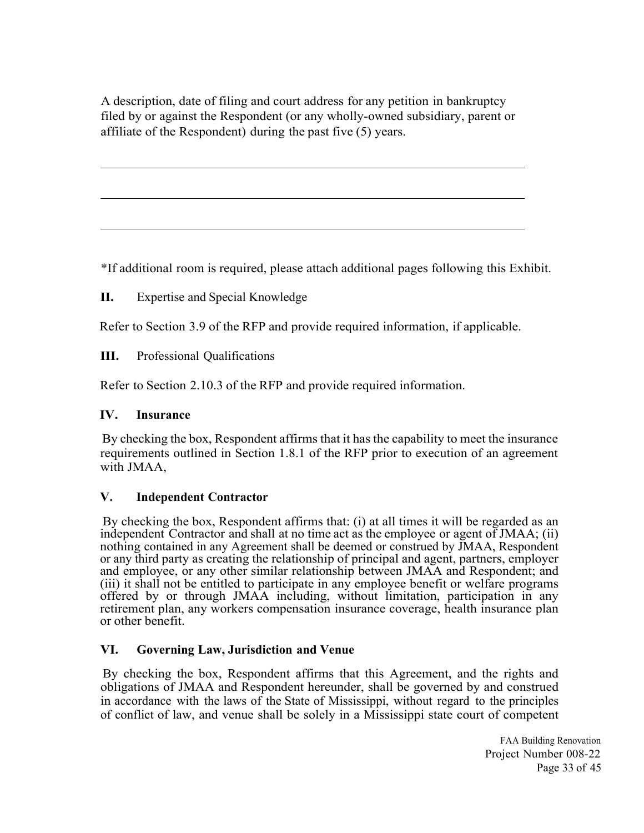A description, date of filing and court address for any petition in bankruptcy filed by or against the Respondent (or any wholly-owned subsidiary, parent or affiliate of the Respondent) during the past five (5) years.

\*If additional room is required, please attach additional pages following this Exhibit.

**II.** Expertise and Special Knowledge

Refer to Section 3.9 of the RFP and provide required information, if applicable.

**III.** Professional Qualifications

Refer to Section 2.10.3 of the RFP and provide required information.

### **IV. Insurance**

 $\overline{\phantom{a}}$ 

l

l

 By checking the box, Respondent affirms that it has the capability to meet the insurance requirements outlined in Section 1.8.1 of the RFP prior to execution of an agreement with JMAA,

### **V. Independent Contractor**

 By checking the box, Respondent affirms that: (i) at all times it will be regarded as an independent Contractor and shall at no time act as the employee or agent of JMAA; (ii) nothing contained in any Agreement shall be deemed or construed by JMAA, Respondent or any third party as creating the relationship of principal and agent, partners, employer and employee, or any other similar relationship between JMAA and Respondent; and (iii) it shall not be entitled to participate in any employee benefit or welfare programs offered by or through JMAA including, without limitation, participation in any retirement plan, any workers compensation insurance coverage, health insurance plan or other benefit.

### **VI. Governing Law, Jurisdiction and Venue**

 By checking the box, Respondent affirms that this Agreement, and the rights and obligations of JMAA and Respondent hereunder, shall be governed by and construed in accordance with the laws of the State of Mississippi, without regard to the principles of conflict of law, and venue shall be solely in a Mississippi state court of competent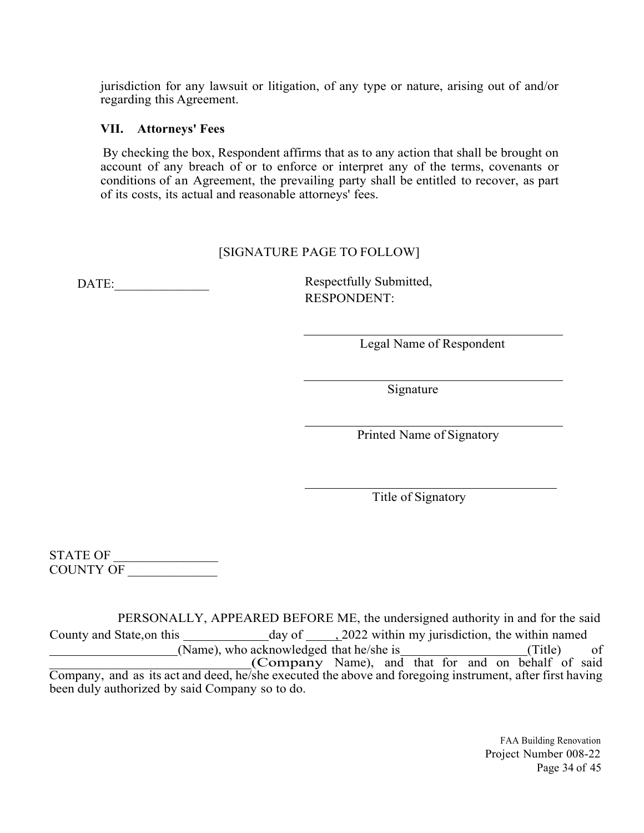jurisdiction for any lawsuit or litigation, of any type or nature, arising out of and/or regarding this Agreement.

### **VII. Attorneys' Fees**

 By checking the box, Respondent affirms that as to any action that shall be brought on account of any breach of or to enforce or interpret any of the terms, covenants or conditions of an Agreement, the prevailing party shall be entitled to recover, as part of its costs, its actual and reasonable attorneys' fees.

### [SIGNATURE PAGE TO FOLLOW]

DATE: Respectfully Submitted, RESPONDENT:

Legal Name of Respondent

Signature

Printed Name of Signatory

Title of Signatory

STATE OF COUNTY OF \_\_\_\_\_\_\_\_\_\_\_\_\_\_\_

PERSONALLY, APPEARED BEFORE ME, the undersigned authority in and for the said County and State, on this day of , 2022 within my jurisdiction, the within named (Name), who acknowledged that he/she is (Title) of Company Name), and that for and on behalf of said Company, and as its act and deed, he/she executed the above and foregoing instrument, after first having been duly authorized by said Company so to do.

> FAA Building Renovation Project Number 008-22 Page 34 of 45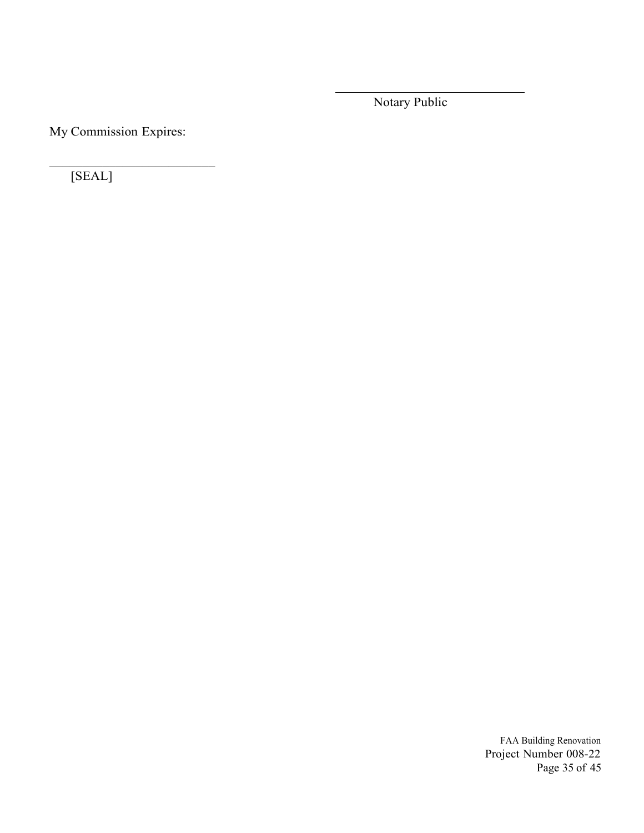Notary Public

My Commission Expires:

[SEAL]

FAA Building Renovation Project Number 008-22 Page 35 of 45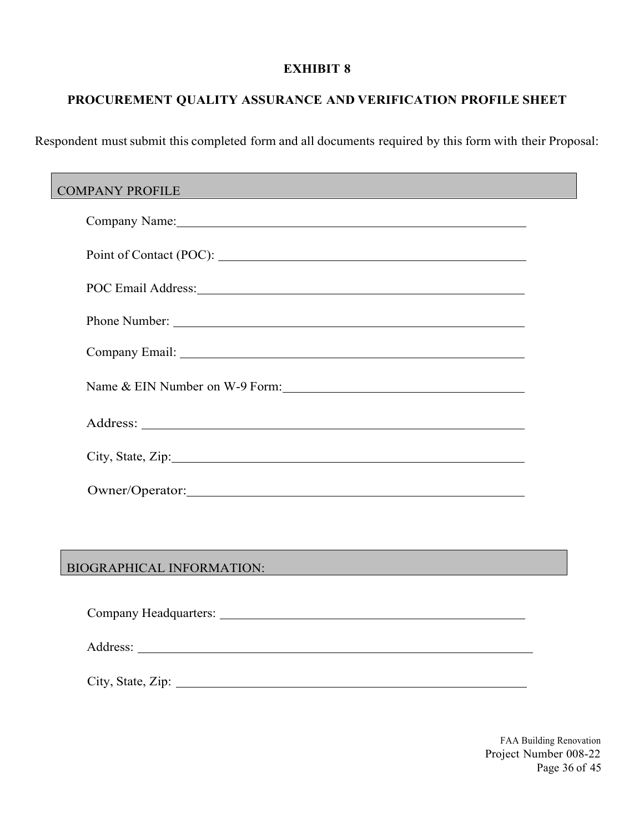## **PROCUREMENT QUALITY ASSURANCE AND VERIFICATION PROFILE SHEET**

Respondent must submit this completed form and all documents required by this form with their Proposal:

| COMPANY PROFILE COMPANY COMPANY PROFILE                                                                                                                                                                                        |  |
|--------------------------------------------------------------------------------------------------------------------------------------------------------------------------------------------------------------------------------|--|
| Company Name: Name: Name: Name: Name: Name: Name: Name: Name: Name: Name: Name: Name: Name: Name: Name: Name: Name: Name: Name: Name: Name: Name: Name: Name: Name: Name: Name: Name: Name: Name: Name: Name: Name: Name: Name |  |
|                                                                                                                                                                                                                                |  |
| POC Email Address: No. 1996. The Contract of the Contract of the Contract of the Contract of the Contract of the Contract of the Contract of the Contract of the Contract of the Contract of the Contract of the Contract of t |  |
|                                                                                                                                                                                                                                |  |
|                                                                                                                                                                                                                                |  |
| Name & EIN Number on W-9 Form:                                                                                                                                                                                                 |  |
|                                                                                                                                                                                                                                |  |
| City, State, Zip: 2008. Example 2014. The State of Table 2014. The State of Table 2014. The State of Table 201                                                                                                                 |  |
|                                                                                                                                                                                                                                |  |
|                                                                                                                                                                                                                                |  |
| BIOGRAPHICAL INFORMATION: Processes and the contract of the contract of the contract of the contract of the contract of the contract of the contract of the contract of the contract of the contract of the contract of the co |  |
|                                                                                                                                                                                                                                |  |

City, State, Zip:

Address:

FAA Building Renovation Project Number 008-22 Page 36 of 45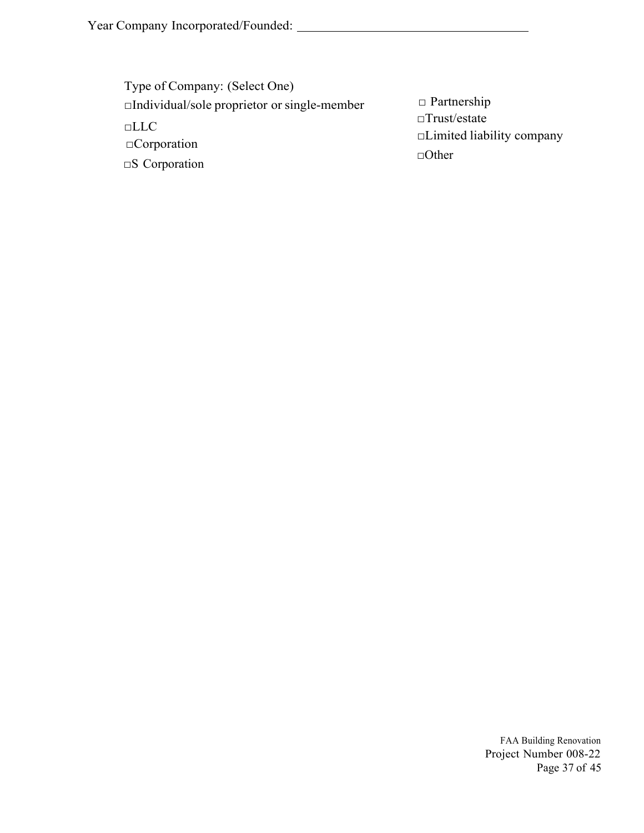| Type of Company: (Select One)                               |                                                                         |
|-------------------------------------------------------------|-------------------------------------------------------------------------|
| $\Box$ Individual/sole proprietor or single-member          | $\Box$ Partnership                                                      |
| $\Box$ LLC<br>$\Box$ Corporation<br>$\square$ S Corporation | $\Box$ Trust/estate<br>$\Box$ Limited liability company<br>$\Box$ Other |
|                                                             |                                                                         |

FAA Building Renovation Project Number 008-22 Page 37 of 45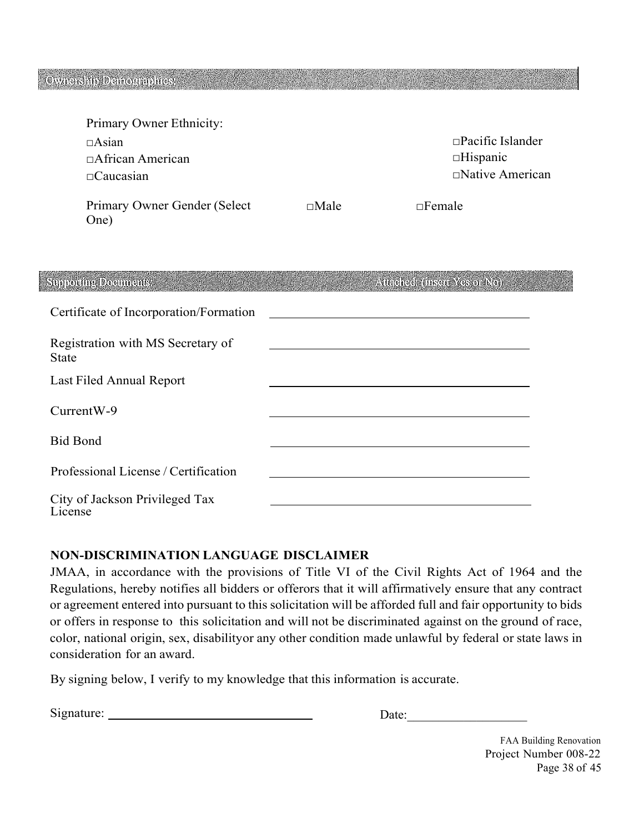| Primary Owner Ethnicity:                                    |             |                                                                      |
|-------------------------------------------------------------|-------------|----------------------------------------------------------------------|
| $\Box$ Asian<br>$\Box$ African American<br>$\Box$ Caucasian |             | $\Box$ Pacific Islander<br>$\Box$ Hispanic<br>$\Box$ Native American |
| Primary Owner Gender (Select<br>One)                        | $\Box$ Male | $\Box$ Female                                                        |

| Supporting Documents:                             | Attached: (insert Yes or No). |
|---------------------------------------------------|-------------------------------|
| Certificate of Incorporation/Formation            |                               |
| Registration with MS Secretary of<br><b>State</b> |                               |
| Last Filed Annual Report                          |                               |
| CurrentW-9                                        |                               |
| <b>Bid Bond</b>                                   |                               |
| Professional License / Certification              |                               |
| City of Jackson Privileged Tax<br>License         |                               |

### **NON-DISCRIMINATION LANGUAGE DISCLAIMER**

JMAA, in accordance with the provisions of Title VI of the Civil Rights Act of 1964 and the Regulations, hereby notifies all bidders or offerors that it will affirmatively ensure that any contract or agreement entered into pursuant to this solicitation will be afforded full and fair opportunity to bids or offers in response to this solicitation and will not be discriminated against on the ground of race, color, national origin, sex, disability or any other condition made unlawful by federal or state laws in consideration for an award.

By signing below, I verify to my knowledge that this information is accurate.

| $\mathrm{Si}\mathrm{s}$ | . .<br>$\sim$<br>uw |
|-------------------------|---------------------|
|                         |                     |

FAA Building Renovation Project Number 008-22 Page 38 of 45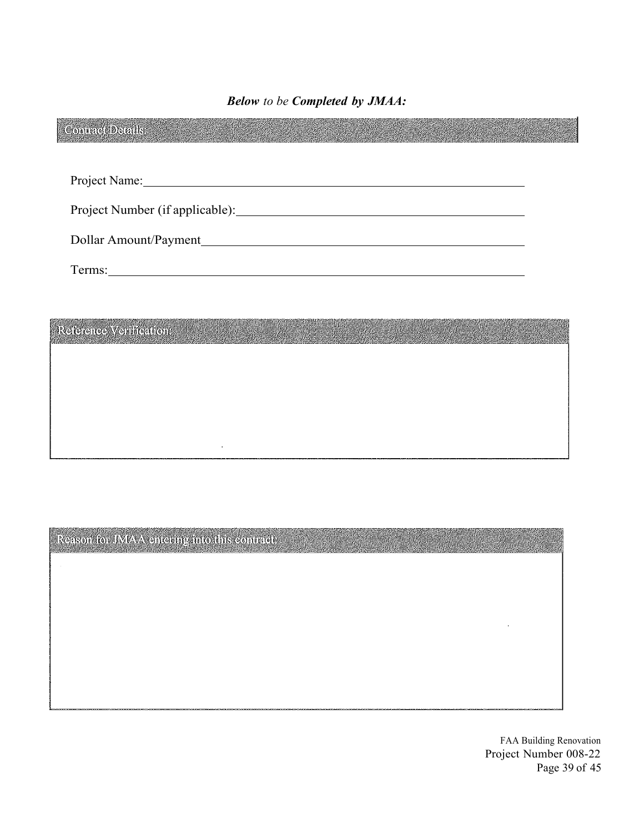*Below to be Completed by JMAA:* 

|                                | Project Name: 1988 |  |  |  |
|--------------------------------|--------------------|--|--|--|
|                                |                    |  |  |  |
|                                |                    |  |  |  |
|                                |                    |  |  |  |
|                                |                    |  |  |  |
| <b>Reference Venification:</b> |                    |  |  |  |

Reason for JMAA entering into this contract:

 $\ddot{\phantom{a}}$ 

FAA Building Renovation Project Number 008-22 Page 39 of 45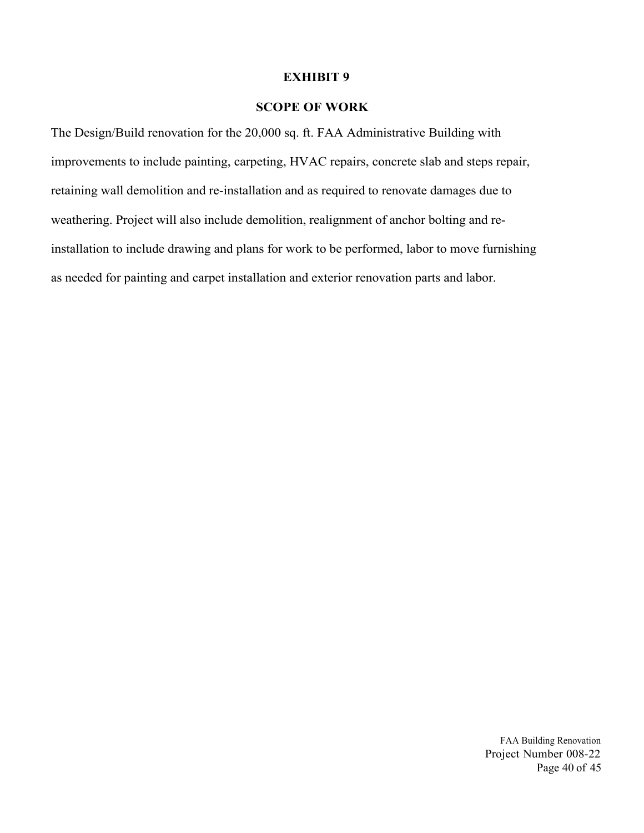### **SCOPE OF WORK**

The Design/Build renovation for the 20,000 sq. ft. FAA Administrative Building with improvements to include painting, carpeting, HVAC repairs, concrete slab and steps repair, retaining wall demolition and re-installation and as required to renovate damages due to weathering. Project will also include demolition, realignment of anchor bolting and reinstallation to include drawing and plans for work to be performed, labor to move furnishing as needed for painting and carpet installation and exterior renovation parts and labor.

> FAA Building Renovation Project Number 008-22 Page 40 of 45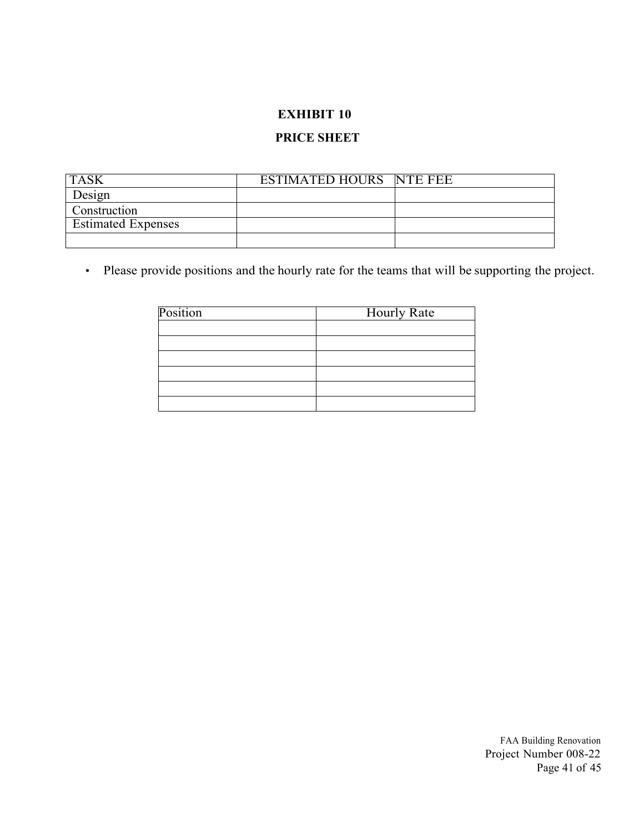### **PRICE SHEET**

| <b>TASK</b>               | ESTIMATED HOURS NTE FEE |  |
|---------------------------|-------------------------|--|
| Design                    |                         |  |
| <b>Construction</b>       |                         |  |
| <b>Estimated Expenses</b> |                         |  |
|                           |                         |  |

• Please provide positions and the hourly rate for the teams that will be supporting the project.

| Position | <b>Hourly Rate</b> |
|----------|--------------------|
|          |                    |
|          |                    |
|          |                    |
|          |                    |
|          |                    |
|          |                    |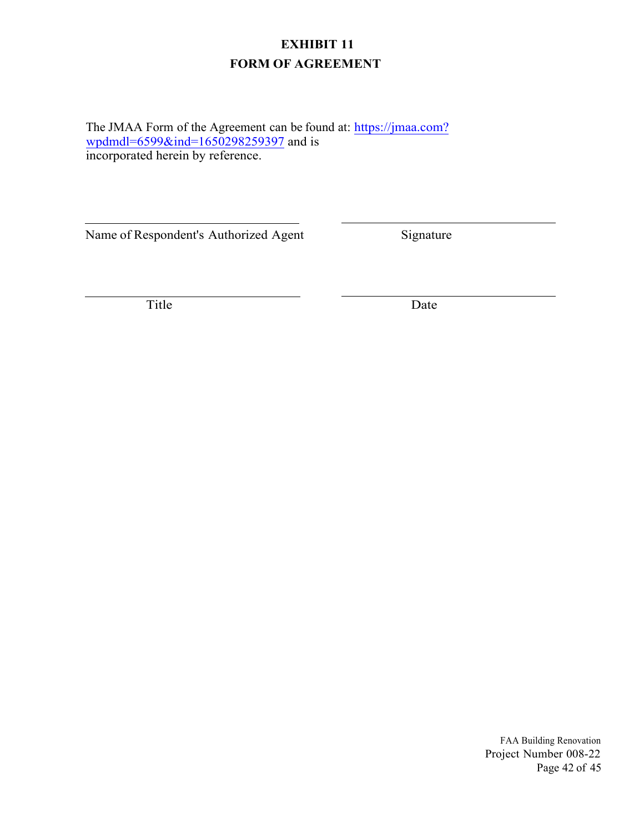## **EXHIBIT 11 FORM OF AGREEMENT**

The JMAA Form of the Agreement can be found at: [https://jmaa.com?](https://jmaa.com?wpdmdl=6599&ind=1650298259397) [wpdmdl=6599&ind=1650298259397](https://jmaa.com?wpdmdl=6599&ind=1650298259397) and is incorporated herein by reference.

Name of Respondent's Authorized Agent Signature

Title Date

FAA Building Renovation Project Number 008-22 Page 42 of 45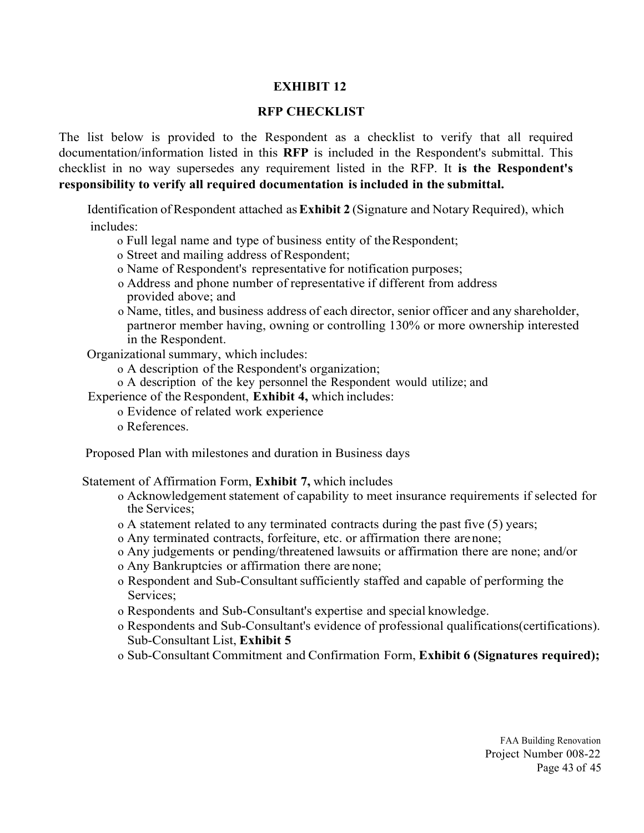### **RFP CHECKLIST**

The list below is provided to the Respondent as a checklist to verify that all required documentation/information listed in this **RFP** is included in the Respondent's submittal. This checklist in no way supersedes any requirement listed in the RFP. It **is the Respondent's responsibility to verify all required documentation is included in the submittal.**

 Identification of Respondent attached as **Exhibit 2** (Signature and Notary Required), which includes:

- o Full legal name and type of business entity of the Respondent;
- o Street and mailing address of Respondent;
- o Name of Respondent's representative for notification purposes;
- o Address and phone number of representative if different from address provided above; and
- o Name, titles, and business address of each director, senior officer and any shareholder, partner or member having, owning or controlling 130% or more ownership interested in the Respondent.

Organizational summary, which includes:

- o A description of the Respondent's organization;
- o A description of the key personnel the Respondent would utilize; and

Experience of the Respondent, **Exhibit 4,** which includes:

- o Evidence of related work experience
- o References.

Proposed Plan with milestones and duration in Business days

Statement of Affirmation Form, **Exhibit 7,** which includes

- o Acknowledgement statement of capability to meet insurance requirements if selected for the Services;
- o A statement related to any terminated contracts during the past five (5) years;
- o Any terminated contracts, forfeiture, etc. or affirmation there are none;
- o Any judgements or pending/threatened lawsuits or affirmation there are none; and/or
- o Any Bankruptcies or affirmation there are none;
- o Respondent and Sub-Consultant sufficiently staffed and capable of performing the Services;
- o Respondents and Sub-Consultant's expertise and special knowledge.
- o Respondents and Sub-Consultant's evidence of professional qualifications(certifications). Sub-Consultant List, **Exhibit 5**
- o Sub-Consultant Commitment and Confirmation Form, **Exhibit 6 (Signatures required);**